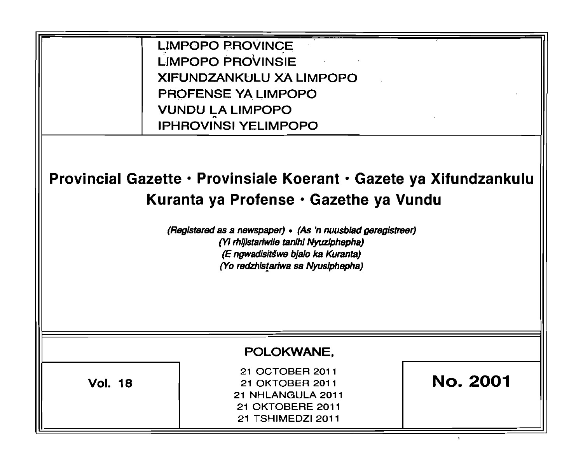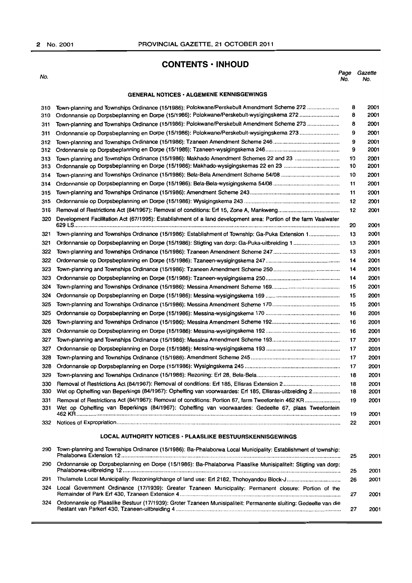## **CONTENTS· INHOUD**

No. Page Gazette No. No.

## GENERAL NOTICES· ALGEMENE KENNISGEWINGS

| 310<br>310 | Town-planning and Townships Ordinance (15/1986): Polokwane/Perskebult Amendment Scheme 272<br>Ordonnansie op Dorpsbeplanning en Dorpe (15/1986): Polokwane/Perskebult-wysigingskema 272                             | 8<br>8   | 2001<br>2001 |
|------------|---------------------------------------------------------------------------------------------------------------------------------------------------------------------------------------------------------------------|----------|--------------|
| 311        | Town-planning and Townships Ordinance (15/1986): Polokwane/Perskebult Amendment Scheme 273                                                                                                                          | 8        | 2001         |
| 311        |                                                                                                                                                                                                                     | 9        | 2001         |
| 312        |                                                                                                                                                                                                                     | 9        | 2001         |
| 312        |                                                                                                                                                                                                                     | 9        | 2001         |
| 313        | Town-planning and Townships Ordinance (15/1986): Makhado Amendment Schemes 22 and 23                                                                                                                                | 10       | 2001         |
| 313        |                                                                                                                                                                                                                     | 10       | 2001         |
| 314        |                                                                                                                                                                                                                     | 10       | 2001         |
| 314        |                                                                                                                                                                                                                     | 11       | 2001         |
| 315        |                                                                                                                                                                                                                     | 11       | 2001         |
| 315        |                                                                                                                                                                                                                     | 12       | 2001         |
| 316        |                                                                                                                                                                                                                     | 12       | 2001         |
| 320        | Development Facilitation Act (67/1995): Establishment of a land development area: Portion of the farm Vaalwater                                                                                                     | 20       | 2001         |
| 321        | Town-planning and Townships Ordinance (15/1986): Establishment of Township: Ga-Puka Extension 1                                                                                                                     | 13       | 2001         |
| 321        |                                                                                                                                                                                                                     | 13       | 2001         |
| 322        |                                                                                                                                                                                                                     | 13       | 2001         |
| 322        |                                                                                                                                                                                                                     | 14       | 2001         |
| 323        |                                                                                                                                                                                                                     | 14       | 2001         |
| 323        |                                                                                                                                                                                                                     | 14       | 2001         |
| 324        |                                                                                                                                                                                                                     | 15       | 2001         |
| 324        |                                                                                                                                                                                                                     | 15       | 2001         |
| 325        |                                                                                                                                                                                                                     | 15       | 2001         |
| 325        |                                                                                                                                                                                                                     | 16       | 2001         |
| 326        |                                                                                                                                                                                                                     | 16       | 2001         |
| 326        |                                                                                                                                                                                                                     | 16       | 2001         |
| 327        |                                                                                                                                                                                                                     | 17       | 2001         |
| 327        |                                                                                                                                                                                                                     | 17       | 2001         |
| 328        |                                                                                                                                                                                                                     | 17       | 2001         |
| 328        |                                                                                                                                                                                                                     | 17       | 2001         |
| 329        |                                                                                                                                                                                                                     | 18       | 2001         |
| 330        |                                                                                                                                                                                                                     | 18       | 2001         |
| 330        | Wet op Opheffing van Beperkings (84/1967): Opheffing van voorwaardes: Erf 185, Ellisras-uitbreiding 2                                                                                                               | 18       | 2001         |
| 331<br>331 | Removal of Restrictions Act (84/1967): Removal of conditions: Portion 67, farm Tweefontein 462 KR<br>Wet op Opheffing van Beperkings (84/1967): Opheffing van voorwaardes: Gedeelte 67, plaas Tweefontein<br>462 KR | 19<br>19 | 2001<br>2001 |
| 332        |                                                                                                                                                                                                                     | 22       | 2001         |
|            | LOCAL AUTHORITY NOTICES - PLAASLIKE BESTUURSKENNISGEWINGS                                                                                                                                                           |          |              |
| 290        | Town-planning and Townships Ordinance (15/1986): Ba-Phalaborwa Local Municipality: Establishment of township:                                                                                                       | 25       | 2001         |
| 290        | Ordonnansie op Dorpsbeplanning en Dorpe (15/1986): Ba-Phalaborwa Plaaslike Munisipaliteit: Stigting van dorp:                                                                                                       | 25       | 2001         |
| 291        |                                                                                                                                                                                                                     | 26       | 2001         |
| 324        | Local Government Ordinance (17/1939): Greater Tzaneen Municipality: Permanent closure: Portion of the                                                                                                               | 27       | 2001         |
| 324        | Ordonnansie op Plaaslike Bestuur (17/1939): Groter Tzaneen Munisipaliteit: Permanente sluiting: Gedeelte van die                                                                                                    | 27       | 2001         |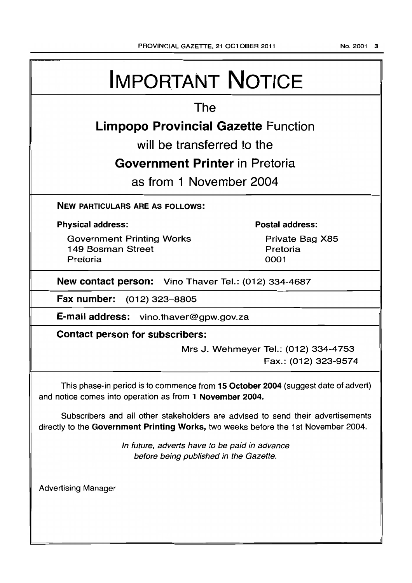# IMPORTANT NOTICE

## The

## Limpopo Provincial Gazette Function

will be transferred to the

## Government Printer in Pretoria

as from 1 November 2004

## NEW PARTICULARS ARE AS FOLLOWS:

## Physical address:

Government Printing Works 1 49 Bosman Street Pretoria

## Postal address:

Private Bag X85 Pretoria 0001

New contact person: Vino Thaver Tel.: (012) 334-4687

Fax number: (012) 323-8805

E·mail address: vino.thaver@gpw.gov.za

Contact person for subscribers:

Mrs J. Wehmeyer Tel.: (012) 334-4753 Fax.: (012) 323-9574

This phase-in period is to commence from 15 October 2004 (suggest date of advert) and notice comes into operation as from 1 November 2004.

Subscribers and all other stakeholders are advised to send their advertisements directly to the Government Printing Works, two weeks before the 1st November 2004.

> In future, adverts have to be paid in advance before being published in the Gazette.

Advertising Manager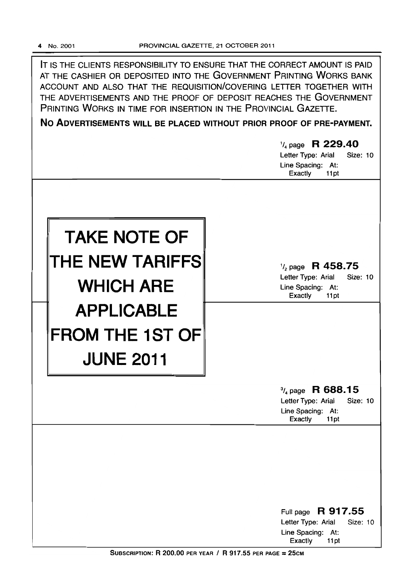IT IS THE CLIENTS RESPONSIBILITY TO ENSURE THAT THE CORRECT AMOUNT IS PAID AT THE CASHIER OR DEPOSITED INTO THE GOVERNMENT PRINTING WORKS BANK ACCOUNT AND ALSO THAT THE REQUISITION/COVERING LETTER TOGETHER WITH THE ADVERTISEMENTS AND THE PROOF OF DEPOSIT REACHES THE GOVERNMENT PRINTING WORKS IN TIME FOR INSERTION IN THE PROVINCIAL GAZETTE.

No ADVERTISEMENTS WILL BE PLACED WITHOUT PRIOR PROOF OF PRE-PAYMENT.

|                                                                 | 1/4 page R 229.40<br><b>Size: 10</b><br>Letter Type: Arial<br>Line Spacing: At:<br>Exactly<br>11pt           |
|-----------------------------------------------------------------|--------------------------------------------------------------------------------------------------------------|
| <b>TAKE NOTE OF</b>                                             |                                                                                                              |
| THE NEW TARIFFS<br><b>WHICH ARE</b>                             | $\frac{1}{2}$ page R 458.75<br>Letter Type: Arial<br><b>Size: 10</b><br>Line Spacing: At:<br>Exactly<br>11pt |
| <b>APPLICABLE</b><br><b>FROM THE 1ST OF</b><br><b>JUNE 2011</b> |                                                                                                              |
|                                                                 | $\frac{3}{4}$ page R 688.15<br>Letter Type: Arial<br><b>Size: 10</b><br>Line Spacing: At:<br>Exactly<br>11pt |
|                                                                 |                                                                                                              |
|                                                                 | R 917.55<br>Full page<br>Letter Type: Arial<br>Size: 10<br>Line Spacing: At:<br>Exactly<br>11pt              |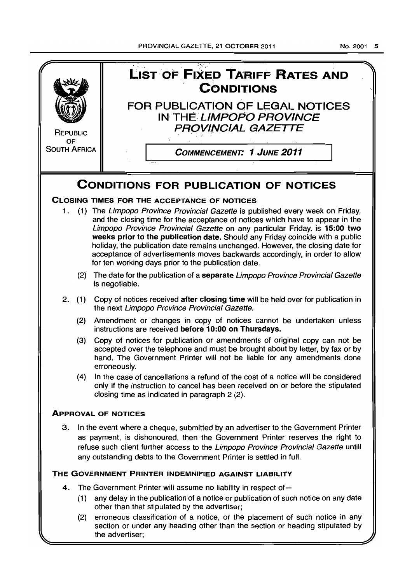. '. .. '. .::~.,.. " . LIST"OF F[XI:.D **TARIFF-RATES AND REPUBLIC** OF SOUTH AFRICA **CONDITIONS** FOR PUBLICATION OF LEGAL NOTICES IN THE LIMPOPO PROVINCE PROVINCIAL GAZETTE COMMENCEMENT: 1 JUNE 2011 CONDITIONS FOR PUBLICATION OF NOTICES CLOSING TIMES FOR THE ACCEPTANCE OF NOTICES 1. (1) The Limpopo Province Provincial Gazette is published every week on Friday, and the closing time for the acceptance of notices which have to appear in the Limpopo Province Provincial Gazette on any particular Friday, is 15:00 two weeks prior to the publication date. Should any Friday coincide with a public holiday, the publication date remains unchanged. However, the closing date for acceptance of advertisements moves backwards accordingly, in order to allow for ten working days prior to the publication date. (2) The date for the publication of a separate Limpopo Province Provincial Gazette is negotiable. 2. (1) Copy of notices received after closing time will be held over for publication in the next Limpopo Province Provincial Gazette. (2) Amendment or changes in copy of notices cannot be undertaken unless instructions are received before 10:00 on Thursdays. (3) Copy of notices for publication or amendments of original copy can not be accepted over the telephone and must be brought about by letter, by fax or by hand. The Government Printer will not be liable for any amendments done erroneously. (4) In the case of cancellations a refund of the cost of a notice will be considered only if the instruction to cancel has been received on or before the stipulated closing time as indicated in paragraph 2 (2). ApPROVAL OF NOTICES 3. In the event where a cheque, submitted by an advertiser to the Government Printer as payment, is dishonoured, then the Government Printer reserves the right to refuse such client further access to the Limpopo Province Provincial Gazette untill any outstanding debts to the Government Printer is settled in full. THE GOVERNMENT PRINTER INDEMNIFIED AGAINST LIABILITY 4. The Government Printer will assume no liability in respect of  $-$ (1) any delay in the publication of a notice or publication of such notice on any date other than that stipulated by the advertiser; (2) erroneous classification of a notice, or the placement of such notice in any section or under any heading other than the section or heading stipulated by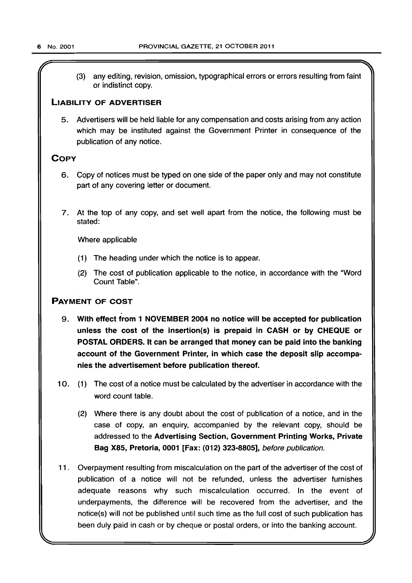(3) any editing, revision, omission, typographical errors or errors resulting from faint or indistinct copy.

## LIABILITY OF ADVERTISER

5. Advertisers will be held liable for any compensation and costs arising from any action which may be instituted against the Government Printer in consequence of the publication of any notice.

## **COPY**

- 6. Copy of notices must be typed on one side of the paper only and may not constitute part of any covering letter or document.
- 7. At the top of any copy, and set well apart from the notice, the following must be stated:

Where applicable

- (1) The heading under which the notice is to appear.
- (2) The cost of publication applicable to the notice, in accordance with the "Word Count Table".

## PAYMENT OF COST

- 9. With effect from 1 NOVEMBER 2004 no notice will be accepted for publication unless the cost of the insertion(s) is prepaid in CASH or by CHEQUE or POSTAL ORDERS. It can be arranged that money can be paid into the banking account of the Government Printer, in which case the deposit slip accompanies the advertisement before publication thereof.
- 10. (1) The cost of a notice must be calculated by the advertiser in accordance with the word count table.
	- (2) Where there is any doubt about the cost of publication of a notice, and in the case of copy, an enquiry, accompanied by the relevant copy, should be addressed to the Advertising Section, Government Printing Works, Private Bag X85, Pretoria, 0001 [Fax: (012) 323-8805], before publication.
- 11. Overpayment resulting from miscalculation on the part of the advertiser of the cost of publication of a notice will not be refunded, unless the advertiser furnishes adequate reasons why such miscalculation occurred. In the event of underpayments, the difference will be recovered from the advertiser, and the notice(s) will not be published until such time as the full cost of such publication has been duly paid in cash or by cheque or postal orders, or into the banking account.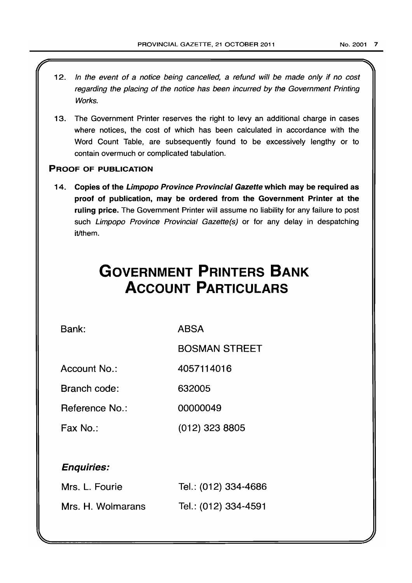- 12. In the event of a notice being cancelled, a refund will be made only if no cost regarding the placing of the notice has been incurred by the Government Printing Works.
- 13. The Government Printer reserves the right to levy an additional charge in cases where notices, the cost of which has been calculated in accordance with the Word Count Table, are subsequently found to be excessively lengthy or to contain overmuch or complicated tabulation.

## PROOF OF PUBLICATION

14. Copies of the Limpopo Province Provincial Gazette which may be required as proof of publication, may be ordered from the Government Printer at the ruling price. The Government Printer will assume no liability for any failure to post such Limpopo Province Provincial Gazette(s) or for any delay in despatching it/them.

## **GOVERNMENT PRINTERS BANK ACCOUNT PARTICULARS**

Bank:

ABSA

BOSMAN STREET

Account No.: 4057114016

Branch code: 632005

Reference No.: 00000049

Fax No.: (012) 323 8805

## Enquiries:

| Mrs. L. Fourie    | Tel.: (012) 334-4686 |
|-------------------|----------------------|
| Mrs. H. Wolmarans | Tel.: (012) 334-4591 |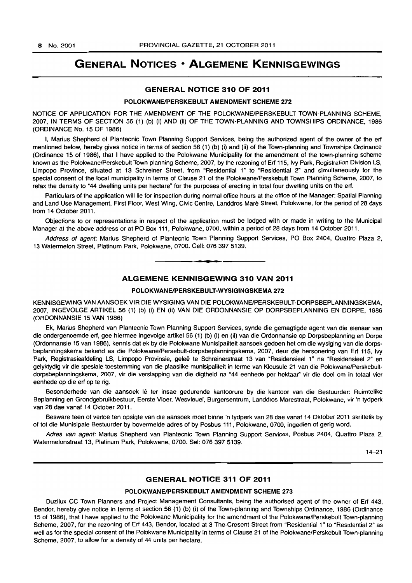## **GENERAL NOTICES • ALGEMENE KENNISGEWINGS**

## GENERAL NOTICE 310 OF 2011

## POLOKWANE/PERSKEBULT AMENDMENT SCHEME 272

NOTICE OF APPLICATION FOR THE AMENDMENT OF THE POLOKWANE/PERSKEBULT TOWN-PLANNING SCHEME 2007, IN TERMS OF SECTION 56 (1) (b) (i) AND (ii) OF THE TOWN-PLANNING AND TOWNSHIPS ORDINANCE, 1986 (ORDINANCE No. 15 OF 1986)

I, Marius Shepherd of Plantecnic Town Planning Support Services, being the authorized agent of the owner of the erf mentioned below, hereby gives notice in terms of section 56 (1) (b) (i) and (ii) of the Town-planning and Townships Ordinance (Ordinance 15 of 1986), that I have applied to the Polokwane Municipality for the amendment of the town-planning scheme known as the PolokwanelPerskebult Town-planning Scheme, 2007, by the rezoning of Erf 115, Ivy Park, Registration Division LS, Limpopo Province, situated at 13 Schreiner Street. from "Residential 1" to "Residential 2" and simultaneously for the special consent of the local municipality in terms of Clause 21 of the Polokwane/Perskebult Town Planning Scheme, 2007, to relax the density to "44 dwelling units per hectare" for the purposes of erecting in total four dwelling units on the erf.

Particulars of the application will lie for inspection during normal office hours at the office of the Manager: Spatial Planning and Land Use Management, First Floor, West Wing, Civic Centre, Landdros Mare Street, Polokwane, for the period of 28 days from 14 October 2011.

Objections to or representations in respect of the application must be lodged with or made in writing to the Municipal Manager at the above address or at PO Box 111, Polokwane, 0700, within a period of 28 days from 14 October 2011.

Address of agent: Marius Shepherd of Plantecnic Town Planning Support Services, PO Box 2404, Quattro Plaza 2, 13 Watermelon Street, Platinum Park, Polokwane, 0700. Cell: 076 397 5139 . . **- .** 

## ALGEMENE KENNISGEWING 310 VAN 2011

## POLOKWANE/PERSKEBULT-WYSIGINGSKEMA 272

KENNISGEWING VAN AANSOEK VIR DIE WYSIGING VAN DIE POLOKWANE/PERSKEBULT-DORPSBEPLANNINGSKEMA. 2007, INGEVOLGE ARTIKEL 56 (1) (b) (i) EN (iI) VAN DIE ORDONNANSIE OP DORPSBEPLANNING EN DORPE, 1986 (ORDONNANSIE 15 VAN 1986)

Ek, Marius Shepherd van Plantecnic Town Planning Support Services, synde die gemagtigde agent van die eienaar van die ondergenoemde erf, gee hiermee ingevolge artikel 56 (1) (b) (i) en (ii) van die Ordonnansie op Dorpsbeplanning en Dorpe (Ordonnansie 15 van 1986), kennis dat ek by die Polokwane Munisipaliteit aansoek gedoen het om die wysiging van die dorpsbeplanningskema bekend as die Polokwane/Persebult-dorpsbeplanningskema, 2007, deur die hersonering van Erf 115, Ivy Park, Registrasieafdeling LS, Limpopo Provinsie, geleë te Schreinerstraat 13 van "Residensieel 1" na "Residensieel 2" en gelyktydig vir die spesiale toestemming van die plaaslike munisipaliteit in terme van Klousule 21 van die PolokwanelPerskebultdorpsbeplanningskema, 2007, vir die verslapping van die digtheid na "44 eenhede per hektaar" vir die doel om in totaal vier eenhede op die ert op te rig.

Besonderhede van die aansoek lê ter insae gedurende kantoorure by die kantoor van die Bestuurder: Ruimtelike Beplanning en Grondgebruikbestuur, Eerste Vloer, Wesvleuel, Burgersentrum, Landdros Marestraat, Polokwane, vir 'n tydperk van 28 dae vanaf 14 Oktober 2011.

Besware teen of vertoë ten opsigte van die aansoek moet binne 'n tydperk van 28 dae vanaf 14 Oktober 2011 skriftelik by of tot die Munisipale Bestuurder by bovermelde adres of by Posbus 111, Polokwane, 0700, ingedien of gerig word.

Adres van agent: Marius Shepherd van Plantecnic Town Planning Support Services, Posbus 2404, Quattro Plaza 2, Watermelonstraat 13, Platinum Park, Polokwane, 0700. Sel: 076 397 5139.

14-21

## GENERAL NOTICE 311 OF 2011

## POLOKWANE/PERSKEBULT AMENDMENT SCHEME 273

Duzilux CC Town Planners and Project Management Consultants, being the authorised agent of the owner of Erf 443, Bendor, hereby give notice in terms of section 56 (1) (b) (i) of the Town-planning and Townships Ordinance, 1986 (Ordinance 15 of 1986), that I have applied to the Polokwane Municipality for the amendment of the Polokwane/Perskebult Town-planning Scheme, 2007, for the rezoning of Erf 443, Bendor, located at 3 The-Cresent Street from "Residential 1" to "Residential 2" as well as for the special consent of the Polokwane Municipality in terms of Clause 21 of the Polokwane/Perskebult Town-planning Scheme, 2007, to allow for a density of 44 units per hectare.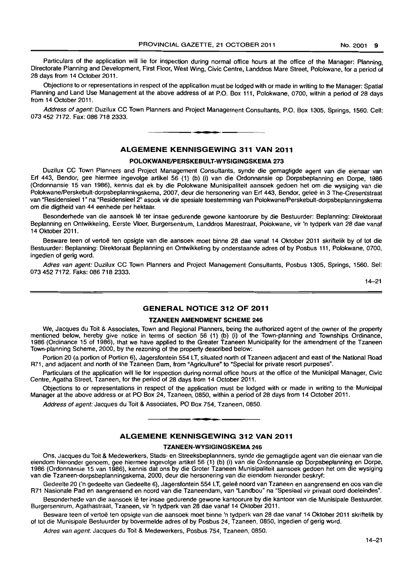Particulars of the application will lie for inspection during normal office hours at the office of the Manager: Planning. Directorate Planning and Development, First Floor, West Wing, Civic Centre, Landdros Mare Street. Polokwane, for a period of 28 days from 14 October 2011.

Objections to or representations in respect of the application must be lodged with or made in writing to the Manager: Spatial Planning and Land Use Management at the above address of at P.O. Box 111, Polokwane, 0700, within a period of 28 days from 14 October 2011.

Address of agent: Duzilux CC Town Planners and Project Management Consultants, P.O. Box 1305, Springs, 1560. Cell: 0734527172. Fax: 086 718 2333.

## ALGEMENE KENNISGEWING 311 VAN 2011

**• •** 

### POLOKWANE/PERSKEBULT-WYSIGINGSKEMA 273

Duzilux CC Town Planners and Project Management Consultants, synde die gemagtigde agent van die eienaar van Erf 443. Bendor. gee hiermee ingevolge artikel 56 (1) (b) (i) van die Ordonnansie op Dorpsbeplanning en Dorpe, 1986 (Ordonnansie 15 van 1986), kennis dat ek by die Polokwane Munisipaliteit aansoek gedoen het om die wysiging van die Polokwane/Perskebult-dorpsbeplanningskema, 2007, deur die hersonering van Erf 443, Bendor, gelee in 3 The-Cresentstraat van "Residensieel 1" na "Residensieel 2" asook vir die spesiale toestemming van Polokwane/Perskebult-dorpsbeplanningskema om die digtheid van 44 eenhede per hektaar.

Besonderhede van die aansoek lê ter insae gedurende gewone kantoorure by die Bestuurder: Beplanning: Direktoraat Beplanning en Ontwikkeling. Eerste Vloer, Burgersentrum, Landdros Marestraat. Polokwane, vir 'n tydperk van 28 dae vanaf 14 Oktober 2011.

Besware teen of vertoë ten opsigte van die aansoek moet binne 28 dae vanaf 14 Oktober 2011 skriftelik by of tot die Bestuurder: Beplanning: Direktoraat Beplanning en Ontwikkeling by onderstaande adres of by Posbus 111, Polokwane, 0700, ingedien of gerig word.

Adres van agent: Duzilux CC Town Planners and Project Management Consultants, Posbus 1305, Springs, 1560. Sel: 073 452 7172. Faks: 086 718 2333.

14-21

## GENERAL NOTICE 312 OF 2011

#### TZANEEN AMENDMENT SCHEME 246

We. Jacques du Toit & Associates, Town and Regional Planners, being the authorized agent of the owner of the property mentioned below. hereby give notice in terms of section 56 (1) (b) (i) of the Town-planning and Townships Ordinance, 1986 (Ordinance 15 of 1986), that we have applied to the Greater Tzaneen Municipality for the amendment of the Tzaneen Town-planning Scheme. 2000. by the rezoning of the property described below:

Portion 20 (a portion of Portion 6), Jagersfontein 554 LT. situated north of Tzaneen adjacent and east of the National Road R71. and adjacent and north of the Tzaneen Dam, from "Agriculture" to "Special for private resort purposes".

Particulars of the application will lie for inspection during normal office hours at the office of the Municipal Manager, Civic Centre, Agatha Street, Tzaneen, for the period of 28 days from 14 October 2011.

Objections to or representations in respect of the application must be lodged with or made in writing to the Municipal Manager at the above address or at PO Box 24, Tzaneen, 0850. within a period of 28 days from 14 October 2011.

Address of agent: Jacques du Toit & Associates, PO Box 754, Tzaneen, 0850.

## ALGEMENE KENNISGEWING 312 VAN 2011

• **- \*** 

#### TZANEEN-WYSIGINGSKEMA 246

Ons. Jacques du Toit & Medewerkers. Stads- en Streeksbeplannners, synde die gemagtigde agent van die eienaar van die eiendom hieronder genoem. gee hiermee ingevolge artikel 56 (1) (b) (i) van die Ordonnansie op Dorpsbeplanning en Dorpe, 1986 (Ordonnansie 15 van 1986). kennis dat ons by die Grater Tzaneen Munisipaliteit aansoek gedoen het om die wysiging van die Tzaneen-dorpsbeplanningskema, 2000. deur die hersonering van die eiendom hierander beskryf:

Gedeelte 20 ('n gedeelte van Gedeelte 6), Jagersfontein 554 LT, geleë noord van Tzaneen en aangrensend en oos van die R71 Nasionale Pad en aangrensend en noord van die Tzaneendam, van "Landbou" na "Spesiaal vir privaat oord doeleindes".

Besonderhede van die aansoek lê ter insae gedurende gewone kantoorure by die kantoor van die Munisipale Bestuurder, Burgersentrum, Agathastraat. Tzaneen, vir 'n tydperk van 28 dae vanaf 14 Oktober 2011.

Besware teen of vertoë ten opsigte van die aansoek moet binne 'n tydperk van 28 dae vanaf 14 Oktober 2011 skriftelik by of tot die Munisipale Bestuurder by bovermelde adres of by Posbus 24, Tzaneen, 0850, ingedien of gerig word.

Adres van agent: Jacques du Toit & Medewerkers, Posbus 754, Tzaneen, 0850.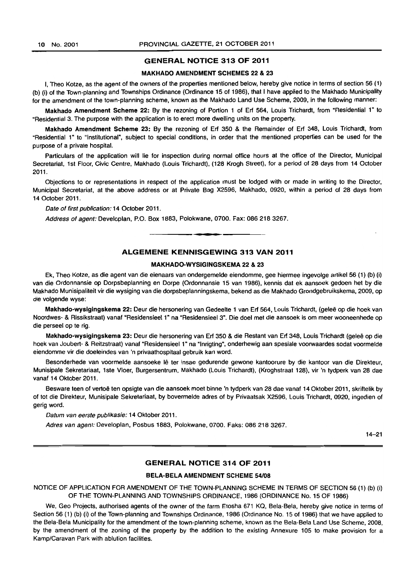## GENERAL NOTICE 313 OF 2011

#### MAKHADO AMENDMENT SCHEMES 22 & 23

I, Theo Kotze. as the agent of the owners of the properties mentioned below. hereby give notice in terms of section 56 (1) (b) (i) of the Town-planning and Townships Ordinance (Ordinance 15 of 1986), that 1 have applied to the Makhado Municipality for the amendment of the town-planning scheme, known as the Makhado Land Use Scheme. 2009. in the following manner:

Makhado Amendment Scheme 22: By the rezoning of Portion 1 of Erf 564, Louis Trichardt, from "Residential 1" to "Residential 3. The purpose with the application is to erect more dwelling units on the property.

Makhado Amendment Scheme 23: By the rezoning of Erf 350 & the Remainder of Erf 348. Louis Trichardt, from "Residential 1" to "Institutional", subject to special conditions, in order that the mentioned properties can be used for the purpose of a private hospital.

Particulars of the application will lie for inspection during normal office hours at the office of the Director, Municipal Secretariat, 1st Floor, Civic Centre, Makhado (Louis Trichardt), (128 Krogh Street), for a period of 28 days from 14 October 2011.

Objections to or representations in respect of the application must be lodged with or made in writing to the Director, Municipal Secretariat, at the above address or at Private Bag X2596, Makhado, 0920, within a period of 28 days from 14 October 2011.

Date of first publication: 14 October 2011.

Address of agent: Developlan, P.O. Box 1883, Polokwane. 0700. Fax: 086 218 3267. . **- .** 

## ALGEMENE KENNISGEWING 313 VAN 2011

## MAKHADO-WYSIGINGSKEMA 22 & 23

Ek, Thea Kotze, as die agent van die eienaars van ondergemelde eiendomme, gee hiermee ingevolge artikel56 (1) (b) (i) van die Ordonnansie op Dorpsbeplanning en Dorpe (Ordonnansie 15 van 1986), kennis dat ek aansoek gedoen het by die Makhado Munisipaliteit vir die wysiging van die dorpsbeplanningskema, bekend as die Makhado Grondgebruikskema, 2009, op die volgende wyse:

Makhado-wysigingskema 22: Deur die hersonering van Gedeelte 1 van Erf 564, Louis Trichardt, (geleë op die hoek van Noordwes- & Rissikstraat) vanaf "Residensieel 1" na "Residensieel 3". Die doel met die aansoek is om meer wooneenhede op die perseel op te rig.

Makhado-wysigingskema 23: Deur die hersonering van Erf 350 & die Restant van Erf 348, Louis Trichardt (geleë op die hoek van Joubert- & Reitzstraat) vanaf "Residensieel 1" na "Inrigting", onderhewig aan spesiale voorwaardes sodat voormelde eiendomme vir die doeleindes van 'n privaathospitaal gebruik kan word.

Besonderhede van voormelde aansoeke lê ter insae gedurende gewone kantoorure by die kantoor van die Direkteur, Munisipale Sekretariaat, 1ste Vloer, Burgersentrum, Makhado (Louis Trichardt), (Kroghstraat 128), vir 'n tydperk van 28 dae vanaf 14 Oktober 2011.

Besware teen of vertoë ten opsigte van die aansoek moet binne 'n tydperk van 28 dae vanaf 14 Oktober 2011, skriftelik by of tot die Direkteur, Munisipale Sekretariaat, by bovermelde adres of by Privaatsak X2596, louis Trichardt, 0920, ingedien of gerig word,

Datum van eerste publikasie: 14 Oktober 2011.

Adres van agent: Developlan, Posbus 1883, Polokwane, 0700. Faks: 086 218 3267.

14-21

## GENERAL NOTICE 314 OF 2011

## BELA-BELA AMENDMENT SCHEME 54/08

NOTICE OF APPLICATION FOR AMENDMENT OF THE TOWN-PLANNING SCHEME IN TERMS OF SECTION 56 (1) (b) (i) OF THE TOWN-PLANNING AND TOWNSHIPS ORDINANCE. 1986 (ORDINANCE No. 15 OF 1986)

We, Geo Projects, authorised agents of the owner of the farm Etosha 671 KQ, Bela-Bela, hereby give notice in terms of Section 56 (1) (b) (i) of the Town-planning and Townships Ordinance, 1986 (Ordinance No. 15 of 1986) that we have applied to the Bela-Bela Municipality for the amendment of the town-planning scheme, known as the Bela-Bela Land Use Scheme, 2008, by the amendment of the zoning of the property by the addition to the existing Annexure 105 to make provision for a Kamp/Caravan Park with ablution facilities.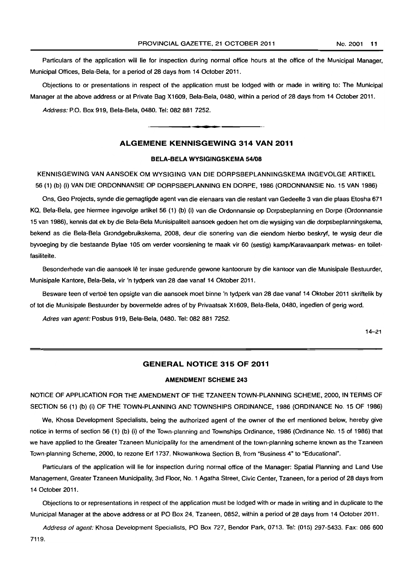Particulars of the application will lie for inspection during normal office hours at the office of the Municipal Manager, Municipal Offices, Bela-Bela, for a period of 28 days from 14 October 2011.

Objections to or presentations in respect of the application must be lodged with or made in writing to: The Municipal Manager at the above address or at Private Bag X1609, Bela-Bela, 0480, within a period of 28 days from 14 October 2011.

Address: P.O. Box 919. Bela-Bela, 0480. Tel: 082 881 7252.

## ALGEMENE KENNISGEWING 314 VAN 2011

I **• I** 

## BELA-BELA WYSIGINGSKEMA *54108*

KENNISGEWING VAN AANSOEK OM WYSIGING VAN DIE DORPSBEPLANNINGSKEMA INGEVOLGE ARTIKEL 56 (1) (b) (i) VAN DIE ORDONNANSIE OP DORPSBEPLANNING EN DORPE, 1986 (ORDONNANSIE No. 15 VAN 1986)

Ons, Geo Projects, synde die gemagtigde agent van die eienaars van die restant van Gedeelte 3 van die plaas Etosha 671 KQ, Bela-Bela, gee hiermee ingevolge artikel 56 (1) (b) (i) van die Ordonnansie op Dorpsbeplanning en Dorpe (Ordonnansie 15 van 1986), kennis dat ek by die Bela-Bela Munisipaliteit aansoek gedoen het om die wysiging van die dorpsbeplanningskema, bekend as die Bela-Bela Grondgebruikskema, 2008, deur die sonering van die eiendom hierbo beskryf, te wysig deur die byvoeging by die bestaande Bylae 105 om verder voorsiening te maak vir 60 (sestig) kamp/Karavaanpark metwas- en toiletfasiliteite.

Besonderhede van die aansoek lê ter insae gedurende gewone kantoorure by die kantoor van die Munisipale Bestuurder, Munisipale Kantore, Bela-Bela, vir 'n tydperk van 28 dae vanaf 14 Oktober 2011.

Besware teen of vertoë ten opsigte van die aansoek moet binne 'n tydperk van 28 dae vanaf 14 Oktober 2011 skriftelik by of tot die Munisipale Bestuurder by bovermelde adres of by Privaatsak X1609, Bela-Bela, 0480. ingedien of gerig word.

Adres van agent: Posbus 919, Bela-Bela, 0480. Tel: 082 881 7252.

14-21

## GENERAL NOTICE 315 OF 2011

## AMENDMENT SCHEME 243

NOTICE OF APPLICATION FOR THE AMENDMENT OF THE TZANEEN TOWN-PLANNING SCHEME, 2000, IN TERMS OF SECTION 56 (1) (b) (i) OF THE TOWN-PLANNING AND TOWNSHIPS ORDINANCE, 1986 (ORDINANCE No. 15 OF 1986)

We, Khosa Development Specialists, being the authorized agent of the owner of the erf mentioned below, hereby give notice in terms of section 56 (1) (b) (i) of the Town-planning and Townships Ordinance, 1986 (Ordinance No. 15 of 1986) that we have applied to the Greater Tzaneen Municipality for the amendment of the town-planning scheme known as the Tzaneen Town-planning Scheme, 2000, to rezone Erf 1737, Nkowankowa Section B, from "Business 4" to "Educational".

Particulars of the application will lie for inspection during normal office of the Manager: Spatial Planning and Land Use Management, Greater Tzaneen Municipality, 3rd Floor, No. 1 Agatha Street, Civic Center, Tzaneen, for a period of 28 days from 14 October 2011.

Objections to or representations in respect of the application must be lodged with or made in writing and in duplicate to the Municipal Manager at the above address or at PO Box 24, Tzaneen, 0852, within a period of 28 days from 14 October 2011.

Address of agent: Khosa Development Specialists, PO Box 727, Bendor Park, 0713. Tel: (015) 297·5433. Fax: 086 600 7119.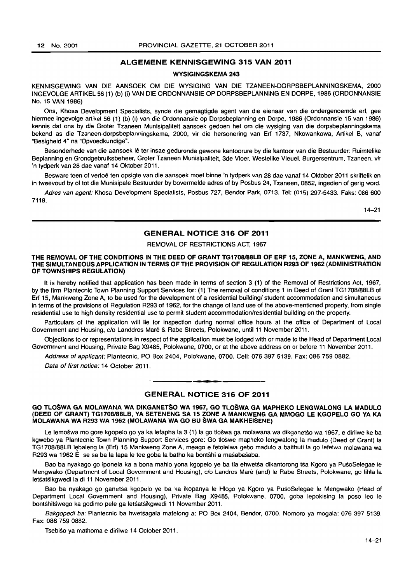## ALGEMENE KENNISGEWING 315 VAN 2011

## WVSIGINGSKEMA 243

KENNISGEWING VAN DIE AANSOEK OM DIE WVSIGING VAN DIE TZANEEN-DORPSBEPLANNINGSKEMA, 2000 INGEVOLGE ARTIKEL 56 (1) (b) (i) VAN DIE ORDONNANSIE OP DORPSBEPLANNING EN DORPE, 1986 (ORDONNANSIE No. 15 VAN 1986)

Ons, Khosa Development Specialists, synde die gemagtigde agent van die eienaar van die ondergenoemde ert, gee hiermee ingevolge artikel56 (1) (b) (i) van die Ordonnansie op Dorpsbeplanning en Dorpe, 1986 (Ordonnansie 15 van 1986) kennis dat ens by die Groter Tzaneen Munisipaliteit aansoek gedoen het om die wysiging van die dorpsbeplanningskema bekend as die Tzaneen-dorpsbeplanningskema, 2000, vir die hersonering van Ert 1737, Nkowankowa, Artikel B, vanaf "Besigheid 4" na "Opvoedkundige".

Besonderhede van die aansoek lê ter insae gedurende gewone kantoorure by die kantoor van die Bestuurder: Ruimtelike Beplanning en Grondgebruiksbeheer, Groter Tzaneen Munisipaliteit, 3de Vloer, Westelike Vleuel, Burgersentrum, Tzaneen, vir 'n tydperk van 28 dae vanaf 14 Oktober 2011.

Besware teen of vertoë ten opsigte van die aansoek moet binne 'n tydperk van 28 dae vanaf 14 Oktober 2011 skriftelik en in tweevoud by of tot die Munisipale Bestuurder by bovermelde adres of by Posbus 24, Tzaneen, 0852, ingedien of gerig word.

Adres van agent: Khosa Development Specialists, Posbus 727, Bendor Park, 0713. Tel: (015) 297-5433. Faks: 086 600 7119.

14-21

## GENERAL NOTICE 316 OF 2011

REMOVAL OF RESTRICTIONS ACT, 1967

### THE REMOVAL OF THE CONDITIONS IN THE DEED OF GRANT TG1708/88LB OF ERF 15, ZONE A, MANKWENG, AND THE SIMULTANEOUS APPLICATION IN TERMS OF THE PROVISION OF REGULATION R293 OF 1962 (ADMINISTRATION OF TOWNSHIPS REGULATION)

It is hereby notified that application has been made in terms of section 3 (1) of the Removal of Restrictions Act, 1967, by the firm Plantecnic Town Planning Support Services for: (1) The removal of conditions 1 in Deed of Grant TG1708/88LB of Ert 15, Mankweng Zone A, to be used for the development of a residential buildingl student accommodation and simultaneous in terms of the provisions of Regulation R293 of 1962, for the change of land use of the above-mentioned property, from single residential use to high density residential use to permit student accommodationlresidential building on the property.

Particulars of the application will lie for inspection during normal office hours at the office of Department of Local Government and Housing, c/o Landdros Mare & Rabe Streets, Polokwane, until 11 November 2011.

Objections to or representations in respect of the application must be lodged with or made to the Head of Department Local Government and Housing, Private Bag X9485. Polokwane, 0700, or at the above address on or before 11 November 2011.

Address of applicant: Plantecnic, PO Box 2404, Polokwane, 0700, Cell: 076 397 5139, Fax: 086 759 0882.

Date of first notice: 14 October 2011.

## **•**  GENERAL NOTICE 316 OF 2011

#### GO TLO§WA GA MOLAWANA WA DIKGANET§O WA 1967, GO TLO§WA GA MAPHEKO LENGWALONG LA MADULO (DEED OF GRANT) TG1708l88LB. VA SETENENG SA 15 ZONE A MANKWENG GA MMOGO LE KGOPELO GO VA KA MOLAWANA WA R293 WA 1962 (MOLAWANA WA GO BU §WA GA MAKHEI§ENE)

Le lemošwa mo gore kgopelo go ya ka lefapha la 3 (1) la go tlošwa ga molawana wa dikganetšo wa 1967, e dirilwe ke ba kgwebo ya Plantecnic Town Planning Support Services gore: Go tloswe mapheko lengwalong la madulo (Deed of Grant) la TG1708/88LB I~baleng la (Erf) 15 Mankweng Zone A, meago e fetolelwa gebo madulo a baithuti la go lefelwa molawana wa R293 wa 1962 E se sa ba la lapa Ie tee goba la batho ka bantshi a masabasaba.

Bao ba nyakago go iponela ka a bona mahlo yona kgopelo ye ba tla ehwetsa dikantorong tsa Kgoro ya PusoSelegae le Mengwako (Department of Local Government and Housing), *clo* Landros Mare (and) Ie Rabe Streets, Polokwane, go fihla la letsatsikgwedi la di 11 November 2011 .

Bao ba nyakago go ganetsa kgopelo ye ba ka ikopanya Ie Hlogo ya Kgoro ya PusoSelegae Ie Mengwako (Head of Department Local Government and Housing), Private Bag X9485, Polokwane, 0700, goba lepokising la poso leo Ie bontshitswego ka godimo pele ga letsatsikgwedi 11 November 2011.

Bakgopedi ba: Plantecnic ba hwetsagala mafelong a: PO Box 2404, Bendor, 0700. Nomoro ya mogala: 076 397 5139. Fax: 086 759 0882.

Tsebiso ya mathoma e dirilwe 14 October 2011.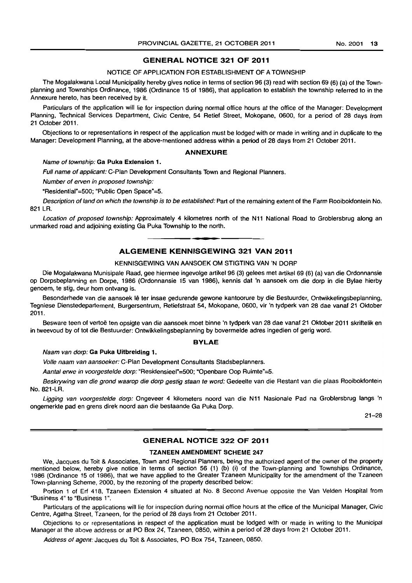## GENERAL NOTICE 321 OF 2011

## NOTICE OF APPLICATION FOR ESTABLISHMENT OF A TOWNSHIP

The Mogalakwana Local Municipality hereby gives notice in terms of section 96 (3) read with section 69 (6) (a) of the Townplanning and Townships Ordinance, 1986 (Ordinance 15 of 1986), that application to establish the township referred to in the Annexure hereto, has been received by it.

Particulars of the application will lie for inspection during normal office hours at the office of the Manager: Development Planning, Technical Services Department, Civic Centre, 54 Retief Street, Mokopane, 0600, for a period of 28 days from 21 October 2011.

Objections to or representations in respect of the application must be lodged with or made in writing and in duplicate to the Manager: Development Planning, at the above-mentioned address within a period of 28 days from 21 October 2011.

#### ANNEXURE

#### Name of township: Ga Puka Extension 1.

Full name of applicant: C-Plan Development Consultants Town and Regional Planners.

Number of erven in proposed township:

~Residential"=500; "Public Open Space"=5.

Description of land on which the township is to be established: Part of the remaining extent of the Farm Rooibokfontein No. 821 LR.

Location of proposed township: Approximately 4 kilometres north of the N11 National Road to Groblersbrug along an unmarked road and adjoining existing Ga Puka Township to the north. . **- .** 

## ALGEMENE KENNISGEWING 321 VAN 2011

## KENNISGEWING VAN AANSOEK OM STIGTING VAN 'N DORP

Die Mogalakwana Munisipale Raad, gee hiermee ingevolge artikel 96 (3) gelees met artikel 69 (6) (a) van die Ordonnansie op Dorpsbeplanning en Dorpe, 1986 (Ordonnansie 15 van 1986), kennis dat 'n aansoek om die dorp in die Bylae hierby genoem, te stig, deur hom ontvang is.

Besonderhede van die aansoek Ie ter insae gedurende gewone kantoorure by die Bestuurder, Ontwikkelingsbeplanning, Tegniese Dienstedepartement, Burgersentrum, Retiefstraat 54, Mokopane, 0600, vir 'n tydperk van 28 dae vanaf 21 Oktober 2011.

Besware teen of vertoë ten opsigte van die aansoek moet binne 'n tydperk van 28 dae vanaf 21 Oktober 2011 skriftelik en in tweevoud by of tot die Bestuurder: Ontwikkelingsbeplanning by bovermelde adres ingedien of gerig word.

#### BYLAE

Naam van dorp: Ga Puka Uitbreiding 1.

Volle naam van aansoeker: C-Plan Development Consultants Stadsbeplanners.

Aantal erwe in voorgestelde dorp: "Residensieel"=500; "Openbare Oop Ruimte"=5.

Beskrywing van die grond waarop die dorp gestig staan te word: Gedeelte van die Restant van die plaas Rooibokfontein No. 821-LR.

Ligging van voorgestelde dorp: Ongeveer 4 kilometers noord van die N11 Nasionale Pad na Groblersbrug langs 'n ongemerkte pad en grens direk noord aan die bestaande Ga Puka Dorp.

21-28

## GENERAL NOTICE 322 OF 2011

## TZANEEN AMENDMENT SCHEME 247

We, Jacques du Toit & Associates, Town and Regional Planners, being the authorized agent of the owner of the property mentioned below, hereby give notice in terms of section 56 (1) (b) (i) of the Town-planning and Townships Ordinance, 1986 (Ordinance 15 of 1986), that we have applied to the Greater Tzaneen Municipality for the amendment of the Tzaneen Town-planning Scheme, 2000, by the rezoning of the property described below:

Portion 1 of Erf 418, Tzaneen Extension 4 situated at No.8 Second Avenue opposite the Van Velden Hospital from "Business 4" to "Business 1 ".

Particulars of the applications will lie for inspection during normal office hours at the office of the Municipal Manager, Civic Centre, Agatha Street, Tzaneen, for the period of 28 days from 21 October 2011.

Objections to or representations in respect of the application must be lodged with or made in writing to the Municipal Manager at the above address or at PO Box 24, Tzaneen. 0850, within a period of 28 days from 21 October 2011.

Address of agent: Jacques du Toit & Associates, PO Box 754, Tzaneen, 0850.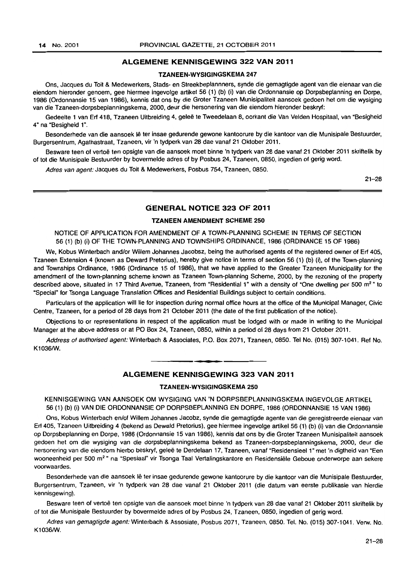## **ALGEMENE KENNISGEWING** 322 **VAN** 2011

## TZANEEN-WYSIGINGSKEMA 247

Ons, Jacques du Toit & Medewerkers, Stads- en Streekbeplannners, synde die gemagtigde agent van die eienaar van die eiendom hieronder genoem, gee hiermee ingevolge artikel 56 (1) (b) (i) van die Ordonnansie op Dorpsbeplanning en Dorpe, 1986 (Ordonnansie 15 van 1986), kennis dat ons by die Groter Tzaneen Munisipaliteit aansoek gedoen het am die wysiging van die Tzaneen-dorpsbeplanningskema, 2000, deur die hersonering van die eiendom hieronder beskryf:

Gedeelte 1 van Erf 418, Tzaneen Uitbreiding 4, geleë te Tweedelaan 8, oorkant die Van Velden Hospitaal, van "Besigheid 4~ na "Besigheid 1~.

Besonderhede van die aansoek lê ter insae gedurende gewone kantoorure by die kantoor van die Munisipale Bestuurder, Burgersentrum, Agathastraat, Tzaneen, vir 'n tydperk van 28 dae vanaf 21 Oktober 2011.

Besware teen of vertoë ten opsigte van die aansoek moet binne 'n tydperk van 28 dae vanaf 21 Oktober 2011 skriftelik by of tot die Munisipale Bestuurder by bovermelde adres of by Posbus 24, Tzaneen, 0850, ingedien of gerig word.

Adres van agent: Jacques du Toit & Medewerkers, Posbus 754, Tzaneen, 0850.

21-28

## **GENERAL NOTICE** 323 **OF** 2011

## TZANEEN AMENDMENT SCHEME 250

NOTICE OF APPLICATION FOR AMENDMENT OF A TOWN-PLANNING SCHEME IN TERMS OF SECTION 56 (1) (b) (i) OF THE TOWN-PLANNING AND TOWNSHIPS ORDINANCE, 1986 (ORDINANCE 15 OF 1986)

We, Kobus Winterbach and/or Willem Johannes Jacobsz, being the authorised agents of the registered owner of Erf 405, Tzaneen Extension 4 (known as Deward Pretorius), hereby give notice in terms of section 56 (1) (b) (i), of the Town-planning and Townships Ordinance, 1986 (Ordinance 15 of 1986), that we have applied to the Greater Tzaneen Municipality for the amendment of the town-planning scheme known as Tzaneen Town-planning Scheme, 2000, by the rezoning of the property described above, situated in 17 Third Avenue, Tzaneen, from "Residential 1" with a density of "One dwelling per 500 m<sup>2</sup>" to "Special" for Tsonga Language Translation Offices and Residential Buildings subject to certain conditions.

Particulars of the application will lie for inspection during normal office hours at the office of the Municipal Manager, Civic Centre, Tzaneen, for a period of 28 days from 21 October 2011 (the date of the first publication of the notice).

Objections to or representations in respect of the application must be lodged with or made in writing to the Municipal Manager at the above address or at PO Box 24, Tzaneen, 0850, within a period of 28 days from 21 October 2011.

Address of authorised agent: Winterbach & Associates, P.O. Box 2071, Tzaneen, 0850. Tel No. (015) 307-1041. Ref No. K1036/W.

## **ALGEMENE KENNISGEWING** 323 **VAN** 2011

a **• •** 

#### TZANEEN-WYSIGINGSKEMA 250

KENNISGEWING VAN AANSOEK OM WYSIGING VAN 'N DORPSBEPLANNINGSKEMA INGEVOLGE ARTIKEL 56 (1) (b) (i) VAN DIE ORDONNANSIE OP DORPSBEPLANNING EN DORPE, 1986 (ORDONNANSIE 15 VAN 1986)

Ons, Kobus Winterbach enlof Willem Johannes Jacobz, synde die gemagtigde agente van die geregistreerde eienaar van Erf 405, Tzaneen Uitbreiding 4 (bekend as Dewald Pretorius), gee hiermee ingevolge artikel 56 (1) (b) (i) van die Ordonnansie op Dorpsbeplanning en Dorpe, 1986 (Ordonnansie 15 van 1986), kennis dat ons by die Groter Tzaneen Munisipaliteit aansoek gedoen het om die wysiging van die dorpsbeplanningskema bekend as Tzaneen-dorpsbeplanningskema, 2000, deur die hersonering van die eiendom hierbo beskryf, geleë te Derdelaan 17, Tzaneen, vanaf "Residensieel 1" met 'n digtheid van "Een wooneenheid per 500 m<sup>2</sup> " na "Spesiaal" vir Tsonga Taal Vertalingskantore en Residensiële Geboue onderworpe aan sekere voorwaardes.

Besonderhede van die aansoek Ie ter insae gedurende gewone kantoorure by die kantoor van die Munisipale Bestuurder, Burgersentrum, Tzaneen, vir 'n tydperk van 28 dae vanaf 21 Oktober 2011 (die datum van eerste publikasie van hierdie kennisgewing).

Besware teen of vertoë ten opsigte van die aansoek moet binne 'n tydperk van 28 dae vanaf 21 Oktober 2011 skriftelik by of tot die Munisipale Bestuurder by bovermelde adres of by Posbus 24, Tzaneen, 0850, ingedien of gerig word.

Adres van gemagtigde agent: Winterbach & Assosiate, Posbus 2071, Tzaneen, 0850. Tel. No. (015) 307-1041. Verw. No. K1036/W.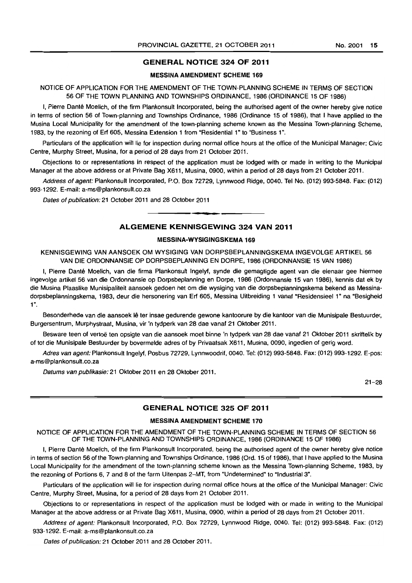## GENERAL NOTICE 324 OF 2011

## MESSINA AMENDMENT SCHEME 169

NOTICE OF APPLICATION FOR THE AMENDMENT OF THE TOWN-PLANNING SCHEME IN TERMS OF SECTION 56 OF THE TOWN PLANNING AND TOWNSHIPS ORDINANCE, 1986 (ORDINANCE 15 OF 1986)

I, Pierre Dante Moelich, of the firm Plankonsult Incorporated, being the authorised agent of the owner hereby give notice in terms of section 56 of Town-planning and Townships Ordinance, 1986 (Ordinance 15 of 1986), that I have applied to the Musina Local Municipality for the amendment of the town-planning scheme known as the Messina Town-planning Scheme, 1983, by the rezoning of Erf 605, Messina Extension 1 from "Residential 1" to "Business 1".

Particulars of the application will lie for inspection during normal office hours at the office of the Municipal Manager: Civic Centre, Murphy Street, Musina, for a period of 28 days from 21 October 2011.

Objections to Of representations in respect of the application must be lodged with or made in writing to the Municipal Manager at the above address or at Private Bag X611, Musina, 0900, within a period of 28 days from 21 October 2011.

Address of agent: Plankonsult Incorporated, P.O. Box 72729, Lynnwood Ridge, 0040. Tel No. (012) 993-5848. Fax: (012) 993-1292. E-mail: a-ms@plankonsult.co.za

Dates of publication: 21 October 2011 and 28 October 2011

## ALGEMENE KENNISGEWING 324 VAN 2011

I **\_ •** 

#### MESSINA-WYSIGINGSKEMA 169

KENNISGEWING VAN AANSOEK OM WYSIGING VAN DORPSBEPLANNINGSKEMA INGEVOLGE ARTIKEL 56 VAN DIE ORDONNANSIE OP DORPSBEPLANNING EN DORPE, 1986 (ORDONNANSIE 15 VAN 1986)

I, Pierre Danté Moelich, van die firma Plankonsult Ingelyf, synde die gemagtigde agent van die eienaar gee hiermee ingevolge artikel 56 van die Ordonnansie op Dorpsbeplanning en Dorpe, 1986 (Ordonnansie 15 van 1986), kennis dat ek by die Musina Plaaslike Munisipaliteit aansoek gedoen het om die wysiging van die dorpsbeplanningskema bekend as Messinadorpsbeplanningskema, 1983, deur die hersonering van Erf 605, Messina Uitbreiding 1 vanaf "Residensieel 1" na "Besigheid 1".

Besonderhede van die aansoek lê ter insae gedurende gewone kantoorure by die kantoor van die Munisipale Bestuurder, Burgersentrum, Murphystraat, Musina, vir 'n tydperk van 28 dae vanaf 21 Oktober 2011.

Besware teen of vertoë ten opsigte van die aansoek moet binne 'n tydperk van 28 dae vanaf 21 Oktober 2011 skriftelik by of tot die Munisipale Bestuurder by bovermelde adres of by Privaatsak X611. Musina, 0090, ingedien of gerig word.

Adres van agent: Plankonsult Ingelyf, Posbus 72729, Lynnwoodrif, 0040. Tel: (012) 993-5848. Fax: (012) 993-1292. E-pos: a-ms@plankonsult.co.za

Datums van publikasie: 21 Oktober 2011 en 28 Oktober 2011.

21-28

## GENERAL NOTICE 325 OF 2011

#### MESSINA AMENDMENT SCHEME 170

NOTICE OF APPLICATION FOR THE AMENDMENT OF THE TOWN-PLANNING SCHEME IN TERMS OF SECTION 56 OF THE TOWN-PLANNING AND TOWNSHIPS ORDINANCE, 1986 (ORDINANCE 15 OF 1986)

I, Pierre Dante Moelich. of the firm Plankonsult Incorporated, being the authorised agent of the owner hereby give notice in terms of section 56 of the Town-planning and Townships Ordinance, 1986 (Ord. 15 of 1986). that I have applied to the Musina Local Municipality for the amendment of the town-planning scheme known as the Messina Town-planning Scheme, 1983, by the rezoning of Portions 6, 7 and 8 of the farm Uitenpas 2-MT, from "Undetermined" to "Industrial 3".

Particulars of the application will lie for inspection during normal office hours at the office of the Municipal Manager: Civic Centre, Murphy Street, Musina, for a period of 28 days from 21 October 2011.

Objections to or representations in respect of the application must be lodged with or made in writing to the Municipal Manager at the above address or at Private Bag X611, Musina, 0900, within a period of 28 days from 21 October 2011.

Address of agent: Plankonsult Incorporated, P.O. Box 72729, Lynnwood Ridge, 0040. Tel: (012) 993-5848. Fax: (012) 933-1292. E-mail: a-ms@plankonsult.co.za

Dates of publication: 21 October 2011 and 28 October 2011.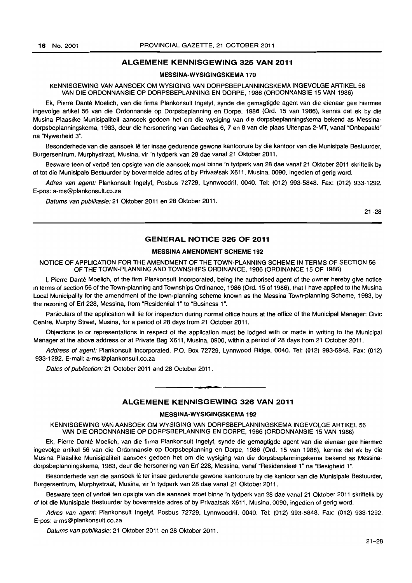## ALGEMENE KENNISGEWING 325 VAN 2011

## MESSINA-WVSIGINGSKEMA 170

KENNISGEWING VAN AANSOEK OM WVSIGING VAN DORPSBEPLANNINGSKEMA INGEVOLGE ARTIKEL 56 VAN DIE ORDONNANSIE OP DORPSBEPLANNING EN DORPE, 1986 (ORDONNANSIE 15 VAN 1986)

Ek, Pierre Dante Moelich, van die firma Plankonsult Ingelyf, synde die gemagtigde agent van die eienaar gee hiermee ingevolge artikel 56 van die Ordonnansie op Dorpsbeplanning en Dorpe, 1986 (Ord. 15 van 1986), kennis dat ek by die Musina Plaaslike Munisipaliteit aansoek gedoen het om die wysiging van die dorpsbeplanningskema bekend as Messinadorpsbeplanningskema, 1983, deur die hersonering van Gedeeltes 6, 7 en 8 van die plaas Uitenpas 2-MT, vanaf "Onbepaald" na "Nywerheid 3".

Besonderhede van die aansoek lê ter insae gedurende gewone kantoorure by die kantoor van die Munisipale Bestuurder, Burgersentrum, Murphystraat, Musina, vir 'n tydperk van 28 dae vanaf 21 Oktober 2011.

Besware teen of vertoë ten opsigte van die aansoek moet binne 'n tydperk van 28 dae vanaf 21 Oktober 2011 skriftelik by of tot die Munisipale Bestuurder by bovermelde adres of by Privaatsak X611, Musina, 0090, ingedien of gerig word.

Adres van agent: Plankonsult Ingelyf, Posbus 72729, Lynnwoodrif, 0040. Tel: (012) 993-5848. Fax: (012) 933-1292. E-pos: a-ms@plankonsult.co.za

Datums van publikasie: 21 Oktober 2011 en 28 Oktober 2011.

21-28

## GENERAL NOTICE 326 OF 2011

#### MESSINA AMENDMENT SCHEME 192

## NOTICE OF APPLICATION FOR THE AMENDMENT OF THE TOWN-PLANNING SCHEME IN TERMS OF SECTION 56 OF THE TOWN-PLANNING AND TOWNSHIPS ORDINANCE, 1986 (ORDINANCE 15 OF 1986)

I, Pierre Dante Moelich, of the firm Plankonsult Incorporated, being the authorised agent of the owner hereby give notice in terms of section 56 of the Town-planning and Townships Ordinance, 1986 (Ord. 15 of 1986), that I have applied to the Musina Local Municipality for the amendment of the town-planning scheme known as the Messina Town-planning Scheme, 1983, by the rezoning of Erf 228, Messina, from "Residential 1" to "Business 1".

Particulars of the application will lie for inspection during normal office hours at the office of the Municipal Manager: Civic Centre, Murphy Street, Musina, for a period of 28 days from 21 October 2011.

Objections to or representations in respect of the application must be lodged with or made in writing to the Municipal Manager at the above address or at Private Bag X611, Musina, 0900, within a period of 28 days from 21 October 2011.

Address of agent: Plankonsult Incorporated, P.O. Box 72729, Lynnwood Ridge, 0040. Tel: (012) 993-5848. Fax: (012) 933-1292. E-mail: a-ms@plankonsult.co.za

Dates of publication: 21 October 2011 and 28 October 2011 .

## ALGEMENE KENNISGEWING 326 VAN 2011

. **-.** 

## MESSINA-WYSIGINGSKEMA 192

KENNISGEWING VAN AANSOEK OM WYSIGING VAN DORPSBEPLANNINGSKEMA INGEVOLGE ARTIKEL 56 VAN DIE ORDONNANSIE OP DORPSBEPLANNING EN DORPE, 1986 (ORDONNANSIE 15 VAN 1986)

Ek, Pierre Dante Moelich, van die firma Plankonsult Ingelyf, synde die gemagtigde agent van die eienaar gee hiermee ingevolge artikel 56 van die Ordonnansie op Dorpsbeplanning en Dorpe, 1986 (Ord. 15 van 1986), kennis dat ek by die Musina Plaaslike Munisipaliteit aansoek gedoen het om die wysiging van die dorpsbeplanningskema bekend as Messinadorpsbeplanningskema, 1983, deur die hersonering van Erf 228, Messina, vanaf "Residensieel 1" na "Besigheid 1".

Besonderhede van die aansoek lê ter insae gedurende gewone kantoorure by die kantoor van die Munisipale Bestuurder, Burgersentrum, Murphystraat, Musina, vir 'n tydperk van 28 dae vanaf 21 Oktober 2011.

Besware teen of vertoë ten opsigte van die aansoek moet binne 'n tydperk van 28 dae vanaf 21 Oktober 2011 skriftelik by of tot die Munisipale Bestuurder by bovermelde adres of by Privaatsak X611, Musina, 0090, ingedien of gerig word.

Adres van agent: Plankonsult Ingelyf, Posbus 72729, Lynnwoodrif. 0040. Tel: (012) 993-5848. Fax: (012) 933-1292. E-pos: a-ms@plankonsult.co.za

Datums van publikasie: 21 Oktober 2011 en 28 Oktober 2011.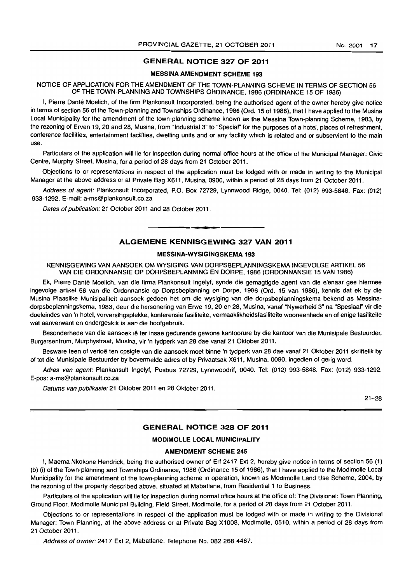## GENERAL NOTICE 327 OF 2011

## MESSINA AMENDMENT SCHEME 193

NOTICE OF APPLICATION FOR THE AMENDMENT OF THE TOWN-PLANNING SCHEME IN TERMS OF SECTION 56 OF THE TOWN-PLANNING AND TOWNSHIPS ORDINANCE, 1986 (ORDINANCE 15 OF 1986)

I, Pierre Danté Moelich, of the firm Plankonsult Incorporated, being the authorised agent of the owner hereby give notice in terms of section 56 of the Town-planning and Townships Ordinance, 1986 (Ord. 15 of 1986), that I have applied to the Musina Local Municipality for the amendment of the town-planning scheme known as the Messina Town-planning Scheme, 1983, by the rezoning of Erven 19, 20 and 28, Musina, from "Industrial 3" to "Special" for the purposes of a hotel, places of refreshment, conference facilities, entertainment facilities, dwelling units and or any facility which is related and or subservient to the main use.

Particulars of the application will lie for inspection during normal office hours at the office of the Municipal Manager: Civic Centre, Murphy Street, Musina, for a period of 28 days from 21 October 2011.

Objections to or representations in respect of the application must be lodged with or made in writing to the Municipal Manager at the above address or at Private Bag X611, Musina, 0900, within a period of 28 days from 21 October 2011.

Address of agent: Plankonsult Incorporated, P.O. Box 72729, Lynnwood Ridge, 0040. Tel: (012) 993-5848. Fax: (012) 933-1292. E-mail: a-ms@plankonsult.co.za

Dates of publication: 21 October 2011 and 28 October 2011.

## ALGEMENE KENNISGEWING 327 VAN 2011

• **• I** 

## MESSINA-WYSIGINGSKEMA 193

KENNISGEWING VAN AANSOEK OM WYSIGING VAN DORPSBEPLANNINGSKEMA INGEVOLGE ARTIKEL 56 VAN DIE ORDONNANSIE OP DORPSBEPLANNING EN DORPE, 1986 (ORDONNANSIE 15 VAN 1986)

Ek, Pierre Dante Moelich, van die firma Plankonsult Ingelyf, synde die gemagtigde agent van die eienaar gee hiermee ingevolge artikel 56 van die Ordonnansie op Dorpsbeplanning en Dorpe, 1986 (Ord. 15 van 1986), kennis dat ek by die Musina Plaaslike Munisipaliteit aansoek gedoen het om die wysiging van die dorpsbeplanningskema bekend as Messinadorpsbeplanningskema, 1983, deur die hersonering van Erwe 19, 20 en 28, Musina, vanaf "Nywerheid 3" na "Spesiaal" vir die doeleindes van 'n hotel, verversihgsplekke, konferensie fasiliteite, vermaaklikheidsfasiliteite wooneenhede en of enige fasiliteite wat aanverwant en ondergeskik is aan die hoofgebruik.

Besonderhede van die aansoek lê ter insae gedurende gewone kantoorure by die kantoor van die Munisipale Bestuurder, Burgersentrum, Murphystraat, Musina, vir 'n tydperk van 28 dae vanaf 21 Oktober 2011.

Besware teen of vertoë ten opsigte van die aansoek moet binne 'n tydperk van 28 dae vanaf 21 Oktober 2011 skriftelik by of tot die Munisipale Bestuurder by bovermelde adres of by Privaatsak X611, Musina, 0090, ingedien of gerig word.

Adres van agent: Plankonsult Ingelyf, Posbus 72729, Lynnwoodrif, 0040. Tel: (012) 993-5848. Fax: (012) 933-1292. E-pos: a-ms@plankonsult.co.za

Datums van publikasie: 21 Oktober 2011 en 28 Oktober 2011.

21-28

## GENERAL NOTICE 328 OF 2011

## MODIMOLLE LOCAL MUNICIPALITY

## AMENDMENT SCHEME 245

I, Maema Nkokone Hendrick, being the authorised owner of Erf 2417 Ext 2, hereby give notice in terms of section 56 (1) (b) (i) of the Town-planning and Townships Ordinance, 1986 (Ordinance 15 of 1986), that I have applied to the Modimolle Local Municipality for the amendment of the town-planning scheme in operation, known as Modimolle Land Use Scheme, 2004, by the rezoning of the property described above, situated at Mabatlane, from Residential 1 to Business.

Particulars of the application will lie for inspection during normal office hours at the office of: The Divisional: Town Planning, Ground Floor, Modimolle Municipal Building, Field Street, Modimolle, for a period of 28 days from 21 October 2011.

Objections to or representations in respect of the application must be lodged with or made in writing to the Divisional Manager: Town Pfanning, at the above address or at Private Bag X1008, Modimolle, 0510, within a period of 28 days from 21 October 2011.

Address of owner: 2417 Ext 2, Mabatlane. Telephone No. 082 268 4467.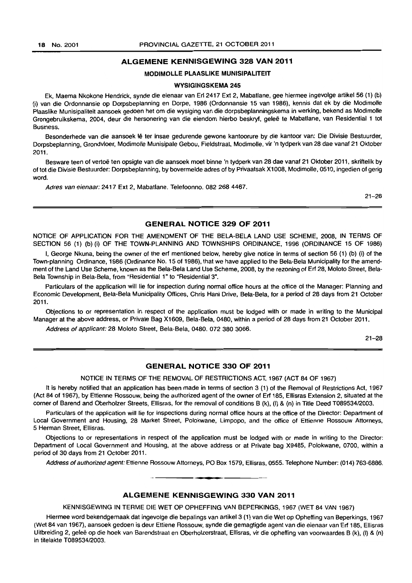## ALGEMENE KENNISGEWING 328 VAN 2011

## MODIMOLLE PLAASLIKE MUNISIPALITEIT

#### WVSIGINGSKEMA 245

Ek, Maema Nkokone Hendrick, synde die eienaar van Erf 2417 Ext 2, Mabatlane, gee hiermee ingevolge artikel56 (1) (b) (i) van die Ordonnansie op Dorpsbeplanning en Dorpe, 1986 (Ordonnansie 15 van 1986), kennis dat ek by die Modimolle Plaaslike Munisipaliteit aansoek gedoen het om die wysiging van die dorpsbeplanningskema in werking, bekend as Modimolle Grongebruikskema, 2004, deur die hersonering van die eiendom hierbo beskryf, geleë te Mabatlane, van Residential 1 tot Business.

Besonderhede van die aansoek lê ter insae gedurende gewone kantoorure by die kantoor van: Die Divisie Bestuurder, Dorpsbeplanning, Grondvloer, Modimolle Munisipale Gebou, Fieldstraat, Modimolle, vir 'n tydperk van 28 dae vanaf 21 Oktober 2011.

Besware teen of vertoë ten opsigte van die aansoek moet binne 'n tydperk van 28 dae vanaf 21 Oktober 2011, skriftelik by of tot die Divisie Bestuurder: Dorpsbeplanning, by bovermelde adres of by Privaatsak X1008, Modimolle, 0510, ingedien of gerig word.

Adres van eienaar: 2417 Ext 2. Mabatlane. Telefoonno. 082 268 4467.

21-28

### GENERAL NOTICE 329 OF 2011

NOTICE OF APPLICATION FOR THE AMENDMENT OF THE BELA-BELA LAND USE SCHEME, 2008, IN TERMS OF SECTION 56 (1) (b)(i) OF THE TOWN-PLANNING AND TOWNSHIPS ORDINANCE, 1996 (ORDINANCE 15 OF 1986)

I, George Nkuna, being the owner of the erf mentioned below, hereby give notice in terms of section 56 (1) (b) (i) of the Town-planning Ordinance, 1986 (Ordinance No. 15 of 1986), that we have applied to the Bela-Bela Municipality for the amendment of the Land Use Scheme, known as the Bela-Bela Land Use Scheme, 2008, by the rezoning of Erf 28, Moloto Street, Bela-Bela Township in Bela-Bela, from "Residential 1" to "Residential 3".

Particulars of the application will lie for inspection during normal office hours at the office of the Manager: Planning and Economic Development, Bela-Bela Municipality Offices, Chris Hani Drive, Bela-Bela, for a period of 28 days from 21 October 2011.

Objections to or representation in respect of the application must be lodged with or made in writing to the Municipal Manager at the above address, or Private Bag X1609, Bela-Bela, 0480, within a period of 28 days from 21 October 2011.

Address of applicant: 28 Moloto Street, Bela-Bela, 0480. 072 380 3066.

21-28

## GENERAL NOTICE 330 OF 2011

NOTICE IN TERMS OF THE REMOVAL OF RESTRICTIONS ACT, 1967 (ACT 84 OF 1967)

It is hereby notified that an application has been made in terms of section 3 (1) of the Removal of Restrictions Act, 1967 (Act 84 of 1967), by Ettienne Rossouw, being the authorized agent of the owner of Ert 185, Ellisras Extension 2, situated at the corner of Barend and Oberholzer Streets, Ellisras, for the removal of conditions B (k), (I) & (n) in Title Deed T089534/2003.

Particulars of the application will lie for inspections during normal office hours at the office of the Director: Department of Local Government and Housing, 28 Market Street, Polokwane, Limpopo, and the office of Ettienne Rossouw Attorneys, 5 Herman Street, Ellisras.

Objections to or representations in respect of the application must be lodged with or made in writing to the Director: Department of Local Government and Housing, at the above address or at Private bag X9485, Polokwane. 0700, within a period of 30 days from 21 October 2011.

Address of authorized agent: Ettienne Rossouw Attorneys, PO Box 1579, Ellisras, 0555. Telephone Number: (014) 763-6886.

#### ALGEMENE KENNISGEWING 330 VAN 2011

**. -**

KENNISGEWING IN TERME DIE WET OP OPHEFFING VAN BEPERKINGS, 1967 (WET 84 VAN 1967)

Hiermee word bekendgemaak dat ingevolge die bepalings van artikel 3 (1) van die Wet op Opheffing van Beperkings, 1967 (Wet 84 van 1967), aansoek gedoen is deur Ettiene Rossouw, synde die gemagtigde agent van die eienaar van Ert 185, Ellisras Uitbreiding 2, geleë op die hoek van Barendstraat en Oberholzerstraat, Ellisras, vir die opheffing van voorwaardes B (k), (l) & (n) in titelakte T089534/2003.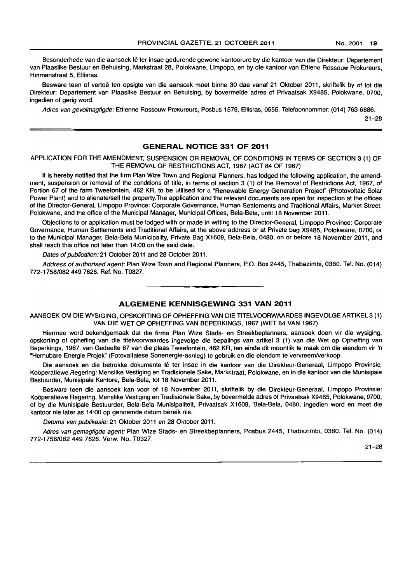Besonderhede van die aansoek Ie ter insae gedurende gewone kantoorure by die kantoor van die Direkteur: Departement van Plaaslike Bestuur en Behuising, Markstraat 28, Polokwane, Limpopo, en by die kantoor van Ettiene Rossouw Prokureurs, Hermanstraat 5, Ellisras.

Besware teen of vertoë ten opsigte van die aansoek moet binne 30 dae vanaf 21 Oktober 2011, skriftelik by of tot die Direkteur: Departement van Plaaslike Bestuur en Behuising, by bovermelde adres of Privaatsak X9485, Polokwane, 0700, ingedien of gerig word.

Adres van gevolmagtigde: Ettienne Rossouw Prokureurs, Posbus 1579, Ellisras, 0555. Telefoonnommer: (014) 763-6886.

21-28

## **GENERAL NOTICE 331 OF 2011**

APPLICATION FOR THE AMENDMENT. SUSPENSION OR REMOVAL OF CONDITIONS IN TERMS OF SECTION 3 (1) OF THE REMOVAL OF RESTRICTIONS ACT, 1967 (ACT 84 OF 1967)

It is hereby notified that the firm Plan Wize Town and Regional Planners, has lodged the following application, the amendment, suspension or removal of the conditions of title, in terms of section 3 (1) of the Removal of Restrictions Act. 1967, of Portion 67 of the farm Tweefontein, 462 KR, to be utilised for a "Renewable Energy Generation Project" (Photovoltaic Solar Power Plant) and to alienate/sell the property.The application and the relevant documents are open for inspection at the offices of the Director-General, Limpopo Province: Corporate Governance, Human Settlements and Traditional Affairs, Market Street, Polokwane, and the office of the Municipal Manager, Municipal Offices, Bela-Bela, until 18 November 2011.

Objections to or application must be lodged with or made in writing to the Director-General, Limpopo Province: Corporate Governance, Human Settlements and Traditional Affairs, at the above address or at Private bag X9485. Polokwane, 0700, or to the Municipal Manager, Bela-Bela Municipality, Private Bag X1609, Bela-Bela, 0480, on or before 18 November 2011, and shall reach this office not later than 14:00 on the said date.

Dates of publication: 21 October 2011 and 28 October 2011.

Address of authorised agent: Plan Wize Town and Regional Planners, P.O. Box 2445, Thabazimbi, 0380. Tel. No. (014) 772-1758/0824497626. Ref. No. T0327. . **-.** 

## **ALGEMENE KENNISGEWING 331 VAN 2011**

AANSOEK OM DIE WYSIGING, OPSKORTING OF OPHEFFING VAN DIE TITELVOORWAARDES INGEVOLGE ARTIKEL 3 (1) VAN DIE WET OP OPHEFFING VAN BEPERKINGS, 1967 (WET 84 VAN 1967)

Hiermee word bekendgemaak dat die firma Plan Wize Stads- en Streekbeplanners, aansoek doen vir die wysiging, opskorting of opheffing van die titelvoorwaardes ingevolge die bepalings van artikel 3 (1) van die Wet op Opheffing van Beperkings, 1967, van Gedeelte 67 van die plaas Tweefontein, 462 KR, ten einde dit moontlik te maak om die eiendom vir 'n "Hernubare Energie Projek" (Fotovaltaiese Sonenergie-aanleg) te gebruik en die eiendom te vervreemiverkoop.

Die aansoek en die betrokke dokumente lê ter insae in die kantoor van die Direkteur-Generaal, Limpopo Provinsie, Kooperatiewe Regering: Menslike Vestiging en Tradisionele Sake, Markstraat, Polokwane, en in die kantoor van die Munisipale Bestuurder, Munisipale Kantore, Bela-Bela, tot 18 November 2011.

Besware teen die aansoek kan voor of 18 November 2011, skriftelik by die Direkteur-Generaal, Limpopo Provinsie: Kooperatiewe Regering, Menslike Vestiging en Tradisionele Sake, by bovermelde adres of Privaatsak X9485, Polokwane, 0700, of by die Munisipale Bestuurder, Bela-Bela Munisipaliteit. Privaatsak X1609, Bela-Bela, 0480, ingedien word en moet die kantoor nie later as 14:00 op genoemde datum bereik nie.

Datums van publikasie: 21 Oktober 2011 en 28 Oktober 2011.

Adres van gemagtigde agent: Plan Wize Stads- en Streekbeplanners, Posbus 2445, Thabazimbi, 0380. Tel. No. (014) 772-1758/0824497626. Verw. No. T0327.

21-28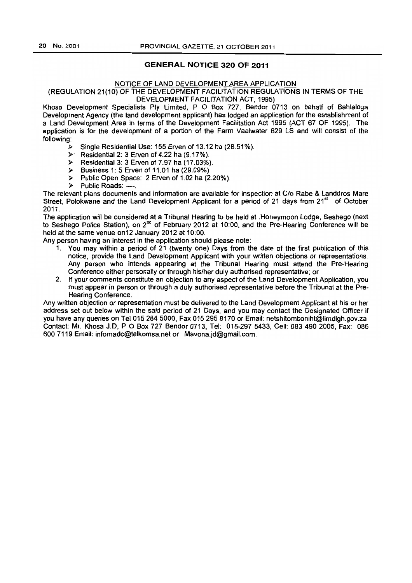## **GENERAL NOTICE 320 OF 2011**

### NOTICE OF LAND DEVELOPMENT AREA APPLICATION

## (REGULATION 21(10) OF THE DEVELOPMENT FACILITATION REGULATIONS IN TERMS OF THE DEVELOPMENT FACILITATION ACT, 1995)

Khosa Development Specialists Pty Limited, P O Box 727, Bendor 0713 on behalf of Bahlaloga Development Agency (the land development applicant) has lodged an application for the establishment of a Land Development Area in terms of the Development Facilitation Act 1995 (ACT 67 OF 1995). The application is for the development of a portion of the Farm Vaalwater 629 LS and will consist of the following:

- $\triangleright$  Single Residential Use: 155 Erven of 13.12 ha (28.51%).
- $\triangleright$  Residential 2: 3 Erven of 4.22 ha (9.17%).
- > Residential 3: 3 Erven of 7.97 ha (17.03%).
- $\triangleright$  Business 1: 5 Erven of 11.01 ha (29.09%)
- > Public Open Space: 2 Erven of 1.02 ha (2.20%).
- > Public Roads: ----.

The relevant plans documents and information are available for inspection at C/o Rabe & Landdros Mare Street. Polokwane and the Land Development Applicant for a period of 21 days from  $21<sup>st</sup>$  of October 2011.

The application will be considered at a Tribunal Hearing to be held at .Honeymoon Lodge, Seshego (next to Seshego Police Station), on 2<sup>nd</sup> of February 2012 at 10:00, and the Pre-Hearing Conference will be held at the same venue on12 January 2012 at 10:00.

Any person having an interest in the application should please note:

- 1. You may within a period of 21 (twenty one) Days from the date of the first publication of this notice, provide the Land Development Applicant with your written objections or representations. Any person who intends appearing at the Tribunal Hearing must attend the Pre-Hearing Conference either personally or through his/her duly authorised representative; or
- 2. If your comments constitute an objection to any aspect of the Land Development Application, you must appear in person or through a duly authorised representative before the Tribunal at the Pre-Hearing Conference.

Any written objection or representation must be delivered to the Land Development Applicant at his or her address set out below within the said period of 21 Days, and you may contact the Designated Officer if you have any queries on Tel 015 284 5000, Fax 015 295 8170 or Email: netshitomboniht@limdlgh.gov.za Contact: Mr. Khosa J.D. POBox 727 Bendor 0713. Tel: 015-297 5433, Cell: 0834902005, Fax: 086 600 7119 Email: infomadc@telkomsa.net or Mavona.jd@gmail.com.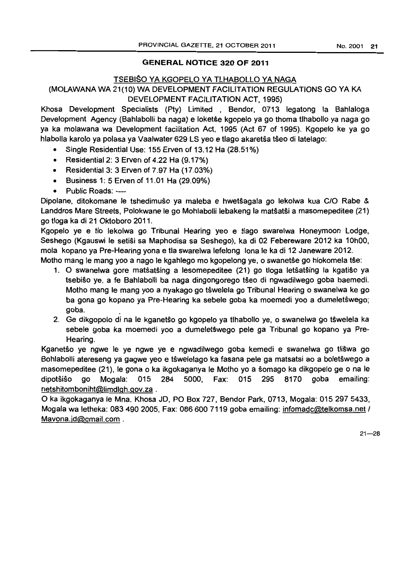## GENERAL NOTICE 320 OF 2011

## TSEBISO YA KGOPELO YA TLHABOLLO YA NAGA

## (MOLAWANA WA 21(10) WA DEVELOPMENT FACILITATION REGULATIONS GO YA KA DEVELOPMENT FACILITATION ACT, 1995)

Khosa Development Specialists (Pty) Limited , Bendor, 0713 legatong la Bahlaloga Development Agency (Bahlabolli ba naga) e loketse kgopelo ya go thoma tlhabollo ya naga go ya ka molawana wa Development facilitation Act, 1995 (Act 67 of 1995). Kgopelo ke ya go hlabolla karolo ya polasa ya Vaalwater 629 LS yeo e tlago akaretŝa tŝeo di latelago:

- Single Residential Use: 155 Erven of 13.12 Ha (28.51%)
- Residential 2: 3 Erven of 4.22 Ha (9.17%)
- Residential 3: 3 Erven of 7.97 Ha (17.03%)
- Business 1: 5 Erven of 11.01 Ha (29.09%)
- Public Roads: ----

Dipolane, ditokomane Ie tshedimuso ya maleba e hwetsagala go lekolwa kua CIO Rabe & Landdros Mare Streets, Polokwane Ie go Mohlabolli lebakeng la mat5atsi a masomepeditee (21) go tioga ka di 21 Oktoboro 2011.

Kgopelo ye e tlo lekolwa go Tribunal Hearing yeo e tlago swarelwa Honeymoon Lodge, Seshego (Kgauswi Ie setisi sa Maphodisa sa Seshego), ka di 02 Febereware 2012 ka 10hOO, mola kopano ya Pre-Hearing yona e tla swarelwa lefelong lona Ie ka di 12 Janeware 2012.

Motho mang le mang yoo a nago le kgahlego mo kgopelong ye, o swanetse go hlokomela tse:

- 1. 0 swanelwa gore matsatsing a lesomepeditee (21) go tioga letsat5ing la kgatiso ya tsebiso ye, a fe Bahlabolli ba naga dingongorego t5eo di ngwadilwego goba baemedi. Motho mang Ie mang yoo a nyakago go t5welela go Tribunal Hearing 0 swanelwa ke go ba gona go kopano ya Pre-Hearing ka sebele goba ka moemedi yoo a dumeletswego; goba. .
- 2. Ge dikgopolo di na le kganetŝo go kgopelo ya tlhabollo ye, o swanelwa go tŝwelela ka sebele goba ka moemedi yoo a dumeletŝwego pele ga Tribunal go kopano ya Pre-Hearing.

Kganetso ye ngwe Ie ye ngwe ye e ngwadilwego goba kemedi e swanelwa go tliswa go Bohlabolli atereseng ya gagwe yeo e tswelelago ka fasana pele ga matsatsi ao a boletswego a masomepeditee (21), Ie gona 0 ka ikgokaganya Ie Motho yo a somago ka dikgopelo ge 0 na Ie dipotsiso go Mogala: 015 284 5000, Fax: 015 295 8170 goba emailing: netshitomboniht@limdlgh.gov.za .

o ka ikgokaganya Ie Mna. Khosa JD, PO Box 727, Bendor Park, 0713, Mogala: 0152975433, Mogala wa letheka: 083 490 2005, Fax: 086 600 7119 goba emailing: infomadc@telkomsa.net / Mavona. jd@gmail.com .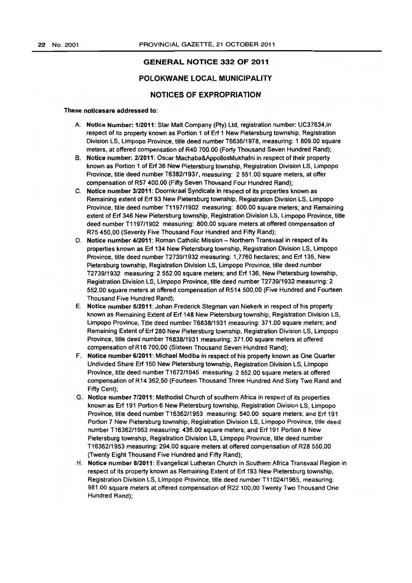## GENERAL NOTICE 332 OF 2011

## POLOKWANE LOCAL MUNICIPALITY

## NOTICES OF EXPROPRIATION

#### These noticesare addressed to:

- A. Notice Number: *1/2011:* Star Malt Company (Ply) Ltd, registration number: UC37634,in respect of its property known as Portion 1 of Erf 1 New Pietersburg township, Registration Division LS, Limpopo Province, title deed number T6636/1978, measuring: 1 809.00 square meters, at offered compensation of R40 700.00 (Forty Thousand Seven Hundred Rand);
- B. Notice number: *2/2011:* Oscar Machaba&AppoliosMukhafni in respect of their property known as Portion 1 of Erf 36 New Pietersburg townShip, Registration Division LS, Limpopo Province, title deed number T6382/1937, measuring: 2551.00 square meters, at offer compensation of R57 400.00 (Fifty Seven Thousand Four Hundred Rand):
- C. Notice number *3/2011:* Doornkraal Syndicate in respect of its properties known as Remaining extent of Erf 93 New Pietersburg township, Registration Division LS, Limpopo Province, title deed number T1197/1902 measuring: 800.00 square meters; and Remaining extent of Erf 346 New Pietersburg township, Registration Division LS, Limpopo Province, title deed number T1197/1902 measuring: 800.00 square meters at offered compensation of R75 450,00 (Seventy Five Thousand Four Hundred and Fifty Rand):
- D. Notice number 4/2011: Roman Catholic Mission Northern Transvaal in respect of its properties known as Erf 134 New Pietersburg township, Registration Division LS, Limpopo Province, title deed number T2739/1932 measuring: 1,7760 hectares; and Erf 135, New Pietersburg township, Registration Division LS, Limpopo Province, title deed number T2739/1932 measuring: 2 552.00 square meters; and Erf 136, New Pietersburg township, Registration Division LS, Limpopo Province, title deed number T2739/1932 measuring: 2 552.00 square meters at offered compensation of R514 500,00 (Five Hundred and Fourteen Thousand Five Hundred Rand);
- E. Notice number *5/2011;* Johan Frederick Stegman van Niekerk in respect of his property known as Remaining Extent of Erf 148 New Pietersburg township, Registration Division LS, Limpopo Province, Title deed number T6838/1931 measuring: 371.00 square meters; and Remaining Extent of Erf 280 New Pietersburg township, Registration Division LS, Limpopo Province, title deed number T6838/1931 measuring: 371.00 square meters at offered compensation of R16 700,00 (Sixteen Thousand Seven Hundred Rand);
- F. Notice number *6/2011:* Michael Modiba in respect of his property known as One Quarter Undivided Share Erf 150 New Pietersburg township, Registration Division LS, Limpopo Province, title deed number T1672/1945 measuring: 2 552.00 square meters at offered compensation of R 14 362,50 (Fourteen Thousand Three Hundred And Sixty Two Rand and Fifty Cent);
- G. Notice number *7/2011:* Methodist Church of southern Africa in respect of its properties known as Erf 191 Portion 6 New Pietersburg township, Registration Division LS, Limpopo Province, title deed number T16362/1953 measuring: 540.00 square meters; and Erf 191 Portion 7 New Pietersburg township, Registration Division LS, Limpopo Province, title deed number T16362/1953 measuring: 436.00 square meters; and Erf 191 Portion 8 New Pietersburg township, Registration Division LS, Limpopo Province, title deed number T16362/1953 measuring: 294.00 square meters at offered compensation of R28 550,00 (Twenty Eight Thousand Five Hundred and Fifty Rand);
- H. Notice number *8/2011:* Evangelical Lutheran Church in Southern Africa Transvaal Region in respect of its property known as Remaining Extent of Erf 193 New Pietersburg township, Registration Division LS, Limpopo Province. title deed number T11 024/1965. measuring: 981.00 square meters at offered compensation of R22 100,00 Twenty Two Thousand One Hundred Rand);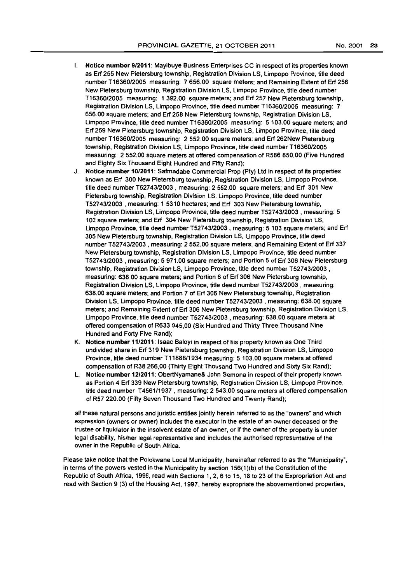- I. Notice number *9/2011:* Mayibuye Business Enterprises CC in respect of its properties known as Erf 255 New Pietersburg township, Registration Division LS, Limpopo Province, title deed number *T16360/2005* measuring: 7 656.00 square meters; and Remaining Extent of Erf 256 New Pietersburg townShip, Registration Division LS, Limpopo Province, title deed number T1636012005 measuring: 1 392.00 square meters; and Erf 257 New Pietersburg township, Registration Division LS, Limpopo Province, title deed number T16360/2005 measuring: 7 656.00 square meters; and Erf 258 New Pietersburg township, Registration Division LS, Limpopo Province, title deed number T16360/2005 measuring: 5 103.00 square meters; and Erf 259 New Pietersburg township, Registration Division LS, Limpopo Province, title deed number T1636012005 measuring: 2 552.00 square meters; and Erf 262New Pietersburg township, Registration Division LS, Limpopo Province, title deed number T1636012005 measuring: 2 552.00 square meters at offered compensation of R586 850,00 (Five Hundred and Eighty Six Thousand Eight Hundred and Fifty Rand);
- J. Notice number *10/2011:* Safmadabe Commercial Prop (Pty) Ltd in respect of its properties known as Erf 300 New Pietersburg township, Registration Division LS, Limpopo Province, title deed number T52743/2003 , measuring: 2 552.00 square meters; and Erf 301 New Pietersburg townShip, Registration Division LS. Limpopo Province, title deed number *T52743/2003* , measuring: 1 5310 hectares; and Erf 303 New Pietersburg township. Registration Division LS, Limpopo Province, title deed number T5274312003 , measuring: 5 103 square meters; and Erf 304 New Pietersburg townShip, Registration Division LS, Limpopo Province, title deed number *T52743/2003* , measuring: 5 103 square meters; and Erf 305 New Pietersburg township, Registration Division LS, Limpopo Province, title deed number T5274312003 , measuring: 2 552.00 square meters; and Remaining Extent of Erf 337 New Pietersburg townShip, Registration Division LS, Limpopo Province, title deed number *T52743/2003* , measuring: 5 971.00 square meters; and Portion 5 of Erf 306 New Pietersburg townShip, Registration Division LS, Limpopo Province, title deed number *T52743/2003,*  measuring: 638.00 square meters; and Portion 6 of Erf 306 New Pietersburg townShip, Registration Division LS, Limpopo Province, title deed number *T52743/2003* , measuring: 638.00 square meters; and Portion 7 of Erf 306 New Pietersburg townShip, Registration Division LS, Limpopo Province, title deed number *T52743/2003,* measuring: 638.00 square meters; and Remaining Extent of Erf 306 New Pietersburg townShip, Registration Division LS, Limpopo Province, title deed number *T52743/2003* • measuring: 638.00 square meters at offered compensation of R633 945,00 (Six Hundred and Thirty Three Thousand Nine Hundred and Forty Five Rand);
- K. Notice number *11/2011:* Isaac Baloyi in respect of his property known as One Third undivided share in Erf 319 New Pietersburg township, Registration Division LS, Limpopo Province, title deed number *111888/1934* measuring: 5 103.00 square meters at offered compensation of R38 266,00 (Thirty Eight Thousand Two Hundred and Sixty Six Rand);
- l. Notice number *12/2011:* ObertNyamane& John Semona in respect of their property known as Portion 4 Erf 339 New Pietersburg township, Registration Division LS, Limpopo Province, title deed number T4561/1937 , measuring: 2 543.00 square meters at offered compensation of R57 220.00 (Fifty Seven Thousand Two Hundred and Twenty Rand);

all these natural persons and juristic entities jointly herein referred to as the "owners" and which expression (owners or owner) includes the executor in the estate of an owner deceased or the trustee or liquidator in the insolvent estate of an owner, or if the owner of the property is under legal disability, hislher legal representative and includes the authorised representative of the owner in the Republic of South Africa.

Please take notice that the Polokwane Local Municipality. hereinafter referred to as the "Municipality', in terms of the powers vested in the Municipality by section 156(1 )(b) of the Constitution of the Republic of South Africa, 1996, read with Sections 1, 2, 6 to 15, 18 to 23 of the Expropriation Act and read with Section 9 (3) of the Housing Act, 1997, hereby expropriate the abovementioned properties,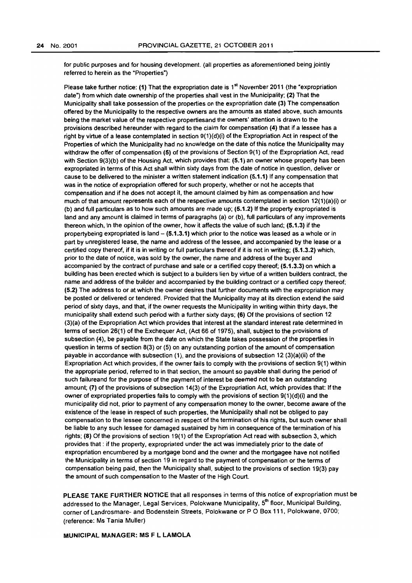for public purposes and for housing development. (all properties as aforementioned being jointly referred to herein as the "Properties")

Please take further notice: (1) That the expropriation date is 1<sup>st</sup> November 2011 (the "expropriation date") from which date ownership of the properties shall vest in the Municipality; (2) That the Municipality shall take possession of the properties on the expropriation date (3) The compensation offered by the Municipality to the respective owners are the amounts as stated above, such amounts being the market value of the respective propertiesand the owners' attention is drawn to the provisions described hereunder with regard to the claim for compensation (4) that if a lessee has a right by virtue of a lease contemplated in section  $9(1)(d)(i)$  of the Expropriation Act in respect of the Properties of which the Municipality had no knowledge on the date of this notice the Municipality may withdraw the offer of compensation (5) of the provisions of Section 9(1) of the Expropriation Act, read with Section 9(3)(b) of the Housing Act. which provides that: (5.1) an owner whose property has been expropriated in terms of this Act shall within sixty days from the date of notice in question. deliver or cause to be delivered to the minister a written statement indication (5.1.1) If any compensation that was in the notice of expropriation offered for such property. whether or not he accepts that compensation and if he does not accept it, the amount claimed by him as compensation and how much of that amount represents each of the respective amounts contemplated in section 12(1)(a)(i) or (b) and full particulars as to how such amounts are made up;  $(5.1.2)$  If the property expropriated is land and any amount is claimed in terms of paragraphs (a) or (b), full particulars of any improvements thereon which. in the opinion of the owner, how it affects the value of such land; (5.1.3) if the propertybeing expropriated is land  $-$  (5.1.3.1) which prior to the notice was leased as a whole or in part by unregistered lease, the name and address of the lessee, and accompanied by the lease or a certified copy thereof, if it is in writing or full particulars thereof if it is not in writing; (5.1.3.2) which, prior to the date of notice, was sold by the owner, the name and address of the buyer and accompanied by the contract of purchase and sale or a certified copy thereof; (5.1.3.3) on which a building has been erected which is subject to a builders lien by virtue of a written builders contract, the name and address of the builder and accompanied by the building contract or a certified copy thereof; (5.2) The address to or at which the owner desires that further documents with the expropriation may be posted or delivered or tendered. Provided that the Municipality may at its direction extend the said period of sixty days. and that, if the owner requests the Municipality in writing within thirty days, the municipality shall extend such period with a further sixty days; (6) Of the provisions of section 12 (3)(a) of the Expropriation Act which provides that interest at the standard interest rate determined in terms of section 26(1) of the Exchequer Act, (Act 66 of 1975), shall, subject to the provisions of subsection (4). be payable from the date on which the State takes possession of the properties in question in terms of section 8(3) or (5) on any outstanding portion of the amount of compensation payable in accordance with subsection (1). and the provisions of subsection 12 (3)(a)(ii) of the Expropriation Act which provides, if the owner fails to comply with the provisions of section 9(1) within the appropriate period. referred to in that section, the amount so payable shall during the period of such failureand for the purpose of the payment of interest be deemed not to be an outstanding amount; (7) of the provisions of subsection 14(3) of the Expropriation Act, which provides that: If the owner of expropriated properties fails to comply with the provisions of section 9(1)(d)(i) and the municipality did not, prior to payment of any compensation money to the owner. become aware of the existence of the lease in respect of such properties, the Municipality shall not be obliged to pay compensation to the lessee concerned in respect of the termination of his rights, but such owner shall be liable to any such lessee for damaged sustained by him in consequence of the termination of his rights; (8) Of the provisions of section 19(1) of the Expropriation Act read with subsection 3, which provides that: if the property, expropriated under the act was immediately prior to the date of expropriation encumbered by a mortgage bond and the owner and the mortgagee have not notified the Municipality in terms of section 19 in regard to the payment of compensation or the terms of compensation being paid. then the Municipality shall. subject to the provisions of section 19(3) pay the amount of such compensation to the Master of the High Court.

PLEASE TAKE FURTHER NOTICE that all responses in terms of this notice of expropriation must be addressed to the Manager, Legal Services, Polokwane Municipality, 5<sup>m</sup> floor, Municipal Building, corner of Landrosmare- and Bodenstein Streets. Polokwane or P O Box 111, Polokwane, 0700; (reference: Ms Tania Muller)

MUNICIPAL MANAGER: MS F L LAMOLA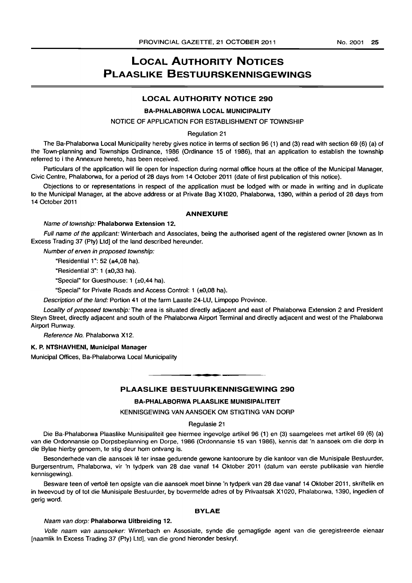## LOCAL AUTHORITY NOTICES PLAASLIKE BESTUURSKENNISGEWINGS

## LOCAL AUTHORITY NOTICE 290

## BA-PHALABORWA LOCAL MUNICIPALITY

### NOTICE OF APPLICATION FOR ESTABLISHMENT OF TOWNSHIP

#### Regulation 21

The Ba-Phalaborwa Local Municipality hereby gives notice in terms of section 96 (1) and (3) read with section 69 (6) (a) of the Town-planning and Townships Ordinance, 1986 (Ordinance 15 of 1986), that an application to establish the township referred to i the Annexure hereto, has been received.

Particulars of the application will lie open for inspection during normal office hours at the office of the Municipal Manager, Civic Centre, Phalaborwa, for a period of 28 days from 14 October 2011 (date of first publication of this notice).

Objections to or representations in respect of the application must be lodged with or made in writing and in duplicate to the Municipal Manager, at the above address or at Private Bag X1020, Phalaborwa, 1390, within a period of 28 days from 14 October 2011

#### ANNEXURE

#### Name of township: Phalaborwa Extension 12.

Full name of the applicant: Winterbach and Associates, being the authorised agent of the registered owner [known as In Excess Trading 37 (pty) Ltd] of the land described hereunder.

Number of erven in proposed township:

"Residential 1": 52 ( $±4,08$  ha).

"Residential 3": 1 (±O,33 hal.

"Special" for Guesthouse: 1 (±O,44 hal.

"Special" for Private Roads and Access Control: 1 (±0,08 ha).

Description of the land: Portion 41 of the farm Laaste 24-LU, Limpopo Province.

Locality of proposed township: The area is situated directly adjacent and east of Phalaborwa Extension 2 and President Steyn Street, directly adjacent and south of the Phalaborwa Airport Terminal and directly adjacent and west of the Phalaborwa Airport Runway.

Reference No. Phalaborwa X12.

#### K. P. NTSHAVHENI, Municipal Manager

Municipal Offices, Ba-Phalaborwa Local Municipality

PLAASLIKE BESTUURKENNISGEWING 290

**. -**

#### BA-PHALABORWA PLAASLIKE MUNISIPALITEIT

KENNISGEWING VAN AANSOEK OM STIGTING VAN DORP

## Regulasie 21

Die Ba-Phalaborwa Plaaslike Munisipaliteit gee hiermee ingevolge artikel 96 (1) en (3) saamgelees met artikel 69 (6) (a) van die Ordonnansie op Dorpsbeplanning en Dorpe, 1986 (Ordonnansie 15 van 1986), kennis dat 'n aansoek om die dorp in die Bylae hierby genoem, te stig deur hom ontvang is.

Besonderhede van die aansoek lê ter insae gedurende gewone kantoorure by die kantoor van die Munisipale Bestuurder, Burgersentrum, Phalaborwa, vir 'n tydperk van 28 dae vanaf 14 Oktober 2011 (datum van eerste publikasie van hierdie kennisgewing).

Besware teen of vertoë ten opsigte van die aansoek moet binne 'n tydperk van 28 dae vanaf 14 Oktober 2011, skriftelik en in tweevoud by of tot die Munisipale Bestuurder, by bovermelde adres of by Privaatsak X1020, Phalaborwa, 1390, ingedien of gerig word.

## BYLAE

#### Naam van dorp: Phalaborwa Uitbreiding 12.

Volle naam van aansoeker: Winterbach en Assosiate, synde die gemagtigde agent van die geregistreerde eienaar [naamlik In Excess Trading 37 (Pty) Ltd], van die grond hieronder beskryf.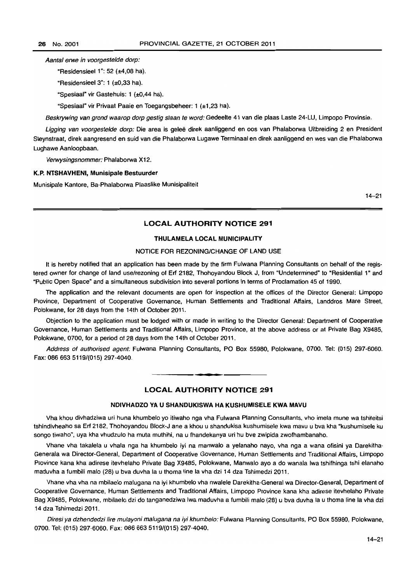Aantal erwe in voorgestelde dorp:

"ResidensieeI1": 52 (±4,08 ha).

"Residensieel  $3$ ": 1 (±0,33 ha).

"Spesiaal" vir Gastehuis: 1 (±O,44 ha).

"Spesiaal" vir Privaat Paaie en Toegangsbeheer: 1 (±1,23 ha).

Beskrywing van grond waarop dorp gestig staan te word: Gedeelte 41 van die plaas Laste 24-LU, Limpopo Provinsie.

Ligging van voorgestelde dorp: Die area is geleë direk aanliggend en oos van Phalaborwa Uitbreiding 2 en President Steynstraat, direk aangresend en suid van die Phalaborwa Lugawe Terminaal en direk aanliggend en wes van die Phalaborwa Lughawe Aanloopbaan.

Verwysingsnommer: Phalaborwa X12.

#### K.P. NTSHAVHENI, Munisipale Bestuurder

Munisipale Kantore, Ba-Phalaborwa Plaaslike Munisipaliteit

14-21

## LOCAL AUTHORITY NOTICE 291

## THULAMELA LOCAL MUNICIPALITY

### NOTICE FOR REZONING/CHANGE OF LAND USE

It is hereby notified that an application has been made by the firm Fulwana Planning Consultants on behalf of the registered owner for change of land use/rezoning of Erf 2182, Thohoyandou Block J, from "Undetermined" to "Residential 1" and "Public Open Space" and a simultaneous subdivision into several portions in terms of Proclamation 45 of 1990.

The application and the relevant documents are open for inspection at the offices of the Director General: Limpopo Province, Department of Cooperative Governance, Human Settlements and Traditional Affairs, Landdros Mare Street, Polokwane, for 28 days from the 14th of October 2011.

Objection to the application must be lodged with or made in writing to the Director General: Department of Cooperative Governance, Human Settlements and Traditional Affairs, Limpopo Province, at the above address or at Private Bag X9485, Polokwane, 0700, for a period of 28 days from the 14th of October 2011.

Address of authorised agent: Fulwana Planning Consultants, PO Box 55980, Polokwane, 0700. Tel: (015) 297-6060. Fax: 086 663 5119/(015) 297-4040.

## LOCAL AUTHORITY NOTICE 291

. **- .** 

## NDIVHAOZO VA U SHANOUKISWA HA KUSHUMISELE KWA MAVU

Vha khou divhadziwa uri huna khumbelo yo itiwaho nga vha Fulwana Planning Consultants, vho imela mune wa tshiteitsi tshindivheaho sa Erf 2182, Thohoyandou Block-J ane a khou u shandukisa kushumisele kwa mavu u bva kha "kushumisele ku songo tiwaho", uya kha vhudzulo ha muta muthihi, na u fhandekanya uri hu bve zwipida zwofhambanaho.

Vhane vha takalela u vhala nga ha khumbelo iyi na manwalo a yelanaho nayo, vha nga a wana ofisini ya Darekitha-Generala wa Director-General, Department of Cooperative Governance, Human Settlements and Traditional Affairs, limpopo Province kana kha adirese itevhelaho Private Bag X9485, Polokwane, Manwalo ayo a do wanala lwa tshifhinga tshi elanaho maduvha a fumbili malo (28) u bva duvha la u thoma line la vha dzi 14 dza Tshimedzi 2011.

Vhane vha vha na mbilaelo malugana na iyi khumbelo vha nwalele Darekitha-General wa Director-General, Department of Cooperative Governance. Human Settlements and Traditional Affairs, Limpopo Province kana kha adirese itevhelaho Private Bag X9485, Polokwane, mbilaelo dzi do tanganedziwa Iwa maduvha a fumbili malo (28) u bva duvha la u thoma line la vha dzi 14 dza Tshimedzi 2011.

Diresi ya dzhendedzi lire mulayoni malugana na iyi khumbelo: Fulwana Planning Consultants, PO Box 55980, Polokwane, 0700. Tel: (015) 297-6060. Fax: 0866635119/(015) 297-4040.